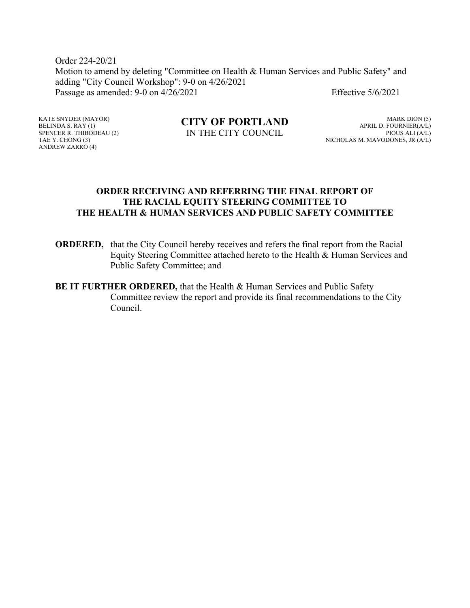Order 224-20/21 Motion to amend by deleting "Committee on Health & Human Services and Public Safety" and adding "City Council Workshop": 9-0 on 4/26/2021 Passage as amended: 9-0 on 4/26/2021 Effective 5/6/2021

KATE SNYDER (MAYOR) BELINDA S.  $RAY(1)$ SPENCER R. THIBODEAU (2) TAE Y. CHONG (3) ANDREW ZARRO (4)

#### **CITY OF PORTLAND** IN THE CITY COUNCIL

MARK DION (5) APRIL D. FOURNIER(A/L) PIOUS ALI (A/L) NICHOLAS M. MAVODONES, JR (A/L)

#### **ORDER RECEIVING AND REFERRING THE FINAL REPORT OF THE RACIAL EQUITY STEERING COMMITTEE TO THE HEALTH & HUMAN SERVICES AND PUBLIC SAFETY COMMITTEE**

- **ORDERED,** that the City Council hereby receives and refers the final report from the Racial Equity Steering Committee attached hereto to the Health & Human Services and Public Safety Committee; and
- **BE IT FURTHER ORDERED, that the Health & Human Services and Public Safety** Committee review the report and provide its final recommendations to the City Council.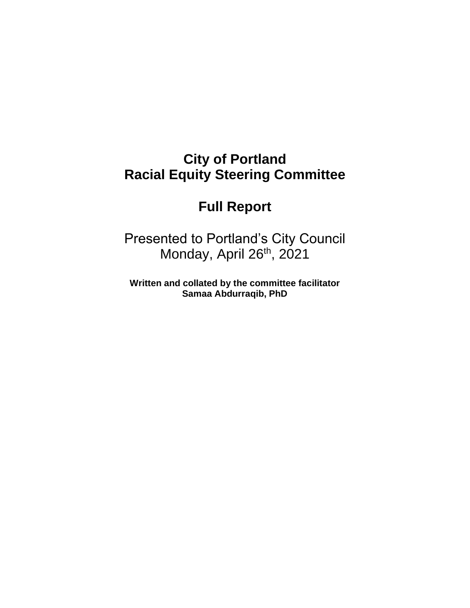# **City of Portland Racial Equity Steering Committee**

# **Full Report**

Presented to Portland's City Council Monday, April 26<sup>th</sup>, 2021

**Written and collated by the committee facilitator Samaa Abdurraqib, PhD**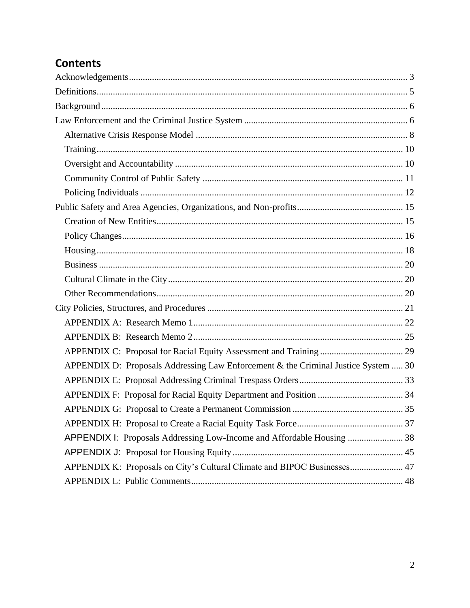## **Contents**

| APPENDIX D: Proposals Addressing Law Enforcement & the Criminal Justice System  30 |  |
|------------------------------------------------------------------------------------|--|
|                                                                                    |  |
|                                                                                    |  |
|                                                                                    |  |
|                                                                                    |  |
| APPENDIX I: Proposals Addressing Low-Income and Affordable Housing  38             |  |
|                                                                                    |  |
| APPENDIX K: Proposals on City's Cultural Climate and BIPOC Businesses 47           |  |
|                                                                                    |  |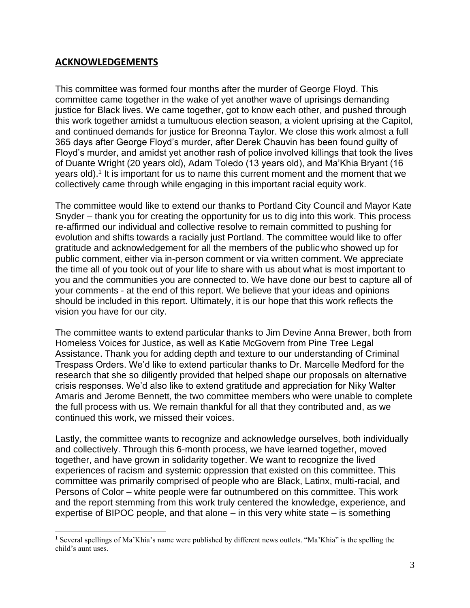### <span id="page-3-0"></span>**ACKNOWLEDGEMENTS**

This committee was formed four months after the murder of George Floyd. This committee came together in the wake of yet another wave of uprisings demanding justice for Black lives. We came together, got to know each other, and pushed through this work together amidst a tumultuous election season, a violent uprising at the Capitol, and continued demands for justice for Breonna Taylor. We close this work almost a full 365 days after George Floyd's murder, after Derek Chauvin has been found guilty of Floyd's murder, and amidst yet another rash of police involved killings that took the lives of Duante Wright (20 years old), Adam Toledo (13 years old), and Ma'Khia Bryant (16 years old).<sup>1</sup> It is important for us to name this current moment and the moment that we collectively came through while engaging in this important racial equity work.

The committee would like to extend our thanks to Portland City Council and Mayor Kate Snyder – thank you for creating the opportunity for us to dig into this work. This process re-affirmed our individual and collective resolve to remain committed to pushing for evolution and shifts towards a racially just Portland. The committee would like to offer gratitude and acknowledgement for all the members of the public who showed up for public comment, either via in-person comment or via written comment. We appreciate the time all of you took out of your life to share with us about what is most important to you and the communities you are connected to. We have done our best to capture all of your comments - at the end of this report. We believe that your ideas and opinions should be included in this report. Ultimately, it is our hope that this work reflects the vision you have for our city.

The committee wants to extend particular thanks to Jim Devine Anna Brewer, both from Homeless Voices for Justice, as well as Katie McGovern from Pine Tree Legal Assistance. Thank you for adding depth and texture to our understanding of Criminal Trespass Orders. We'd like to extend particular thanks to Dr. Marcelle Medford for the research that she so diligently provided that helped shape our proposals on alternative crisis responses. We'd also like to extend gratitude and appreciation for Niky Walter Amaris and Jerome Bennett, the two committee members who were unable to complete the full process with us. We remain thankful for all that they contributed and, as we continued this work, we missed their voices.

Lastly, the committee wants to recognize and acknowledge ourselves, both individually and collectively. Through this 6-month process, we have learned together, moved together, and have grown in solidarity together. We want to recognize the lived experiences of racism and systemic oppression that existed on this committee. This committee was primarily comprised of people who are Black, Latinx, multi-racial, and Persons of Color – white people were far outnumbered on this committee. This work and the report stemming from this work truly centered the knowledge, experience, and expertise of BIPOC people, and that alone – in this very white state – is something

<sup>1</sup> Several spellings of Ma'Khia's name were published by different news outlets. "Ma'Khia" is the spelling the child's aunt uses.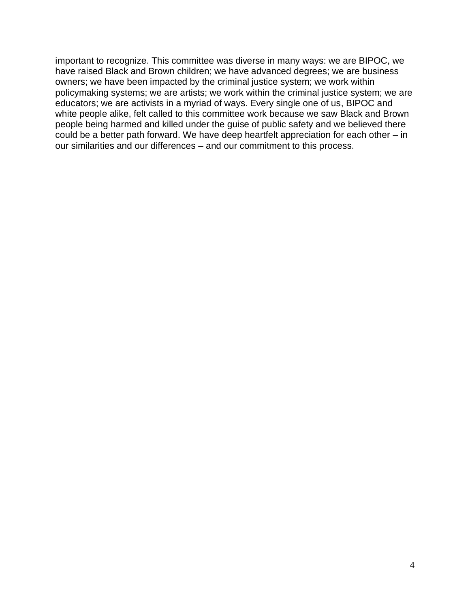important to recognize. This committee was diverse in many ways: we are BIPOC, we have raised Black and Brown children; we have advanced degrees; we are business owners; we have been impacted by the criminal justice system; we work within policymaking systems; we are artists; we work within the criminal justice system; we are educators; we are activists in a myriad of ways. Every single one of us, BIPOC and white people alike, felt called to this committee work because we saw Black and Brown people being harmed and killed under the guise of public safety and we believed there could be a better path forward. We have deep heartfelt appreciation for each other – in our similarities and our differences – and our commitment to this process.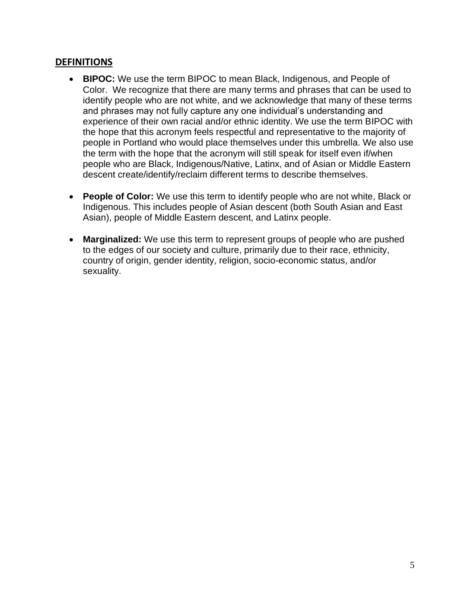#### <span id="page-5-0"></span>**DEFINITIONS**

- **BIPOC:** We use the term BIPOC to mean Black, Indigenous, and People of Color. We recognize that there are many terms and phrases that can be used to identify people who are not white, and we acknowledge that many of these terms and phrases may not fully capture any one individual's understanding and experience of their own racial and/or ethnic identity. We use the term BIPOC with the hope that this acronym feels respectful and representative to the majority of people in Portland who would place themselves under this umbrella. We also use the term with the hope that the acronym will still speak for itself even if/when people who are Black, Indigenous/Native, Latinx, and of Asian or Middle Eastern descent create/identify/reclaim different terms to describe themselves.
- **People of Color:** We use this term to identify people who are not white, Black or Indigenous. This includes people of Asian descent (both South Asian and East Asian), people of Middle Eastern descent, and Latinx people.
- **Marginalized:** We use this term to represent groups of people who are pushed to the edges of our society and culture, primarily due to their race, ethnicity, country of origin, gender identity, religion, socio-economic status, and/or sexuality.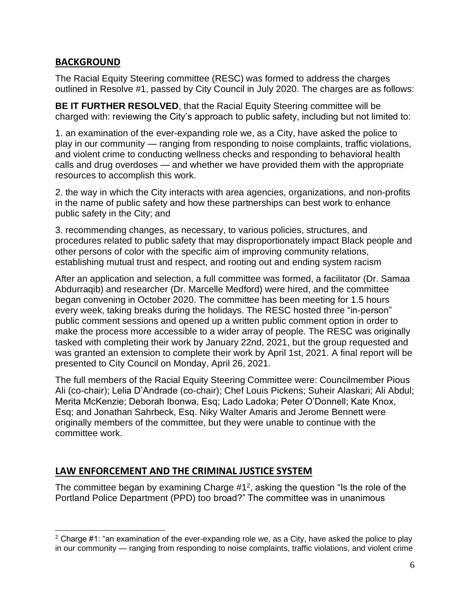## <span id="page-6-0"></span>**BACKGROUND**

The Racial Equity Steering committee (RESC) was formed to address the charges outlined in Resolve #1, passed by City Council in July 2020. The charges are as follows:

**BE IT FURTHER RESOLVED**, that the Racial Equity Steering committee will be charged with: reviewing the City's approach to public safety, including but not limited to:

1. an examination of the ever-expanding role we, as a City, have asked the police to play in our community — ranging from responding to noise complaints, traffic violations, and violent crime to conducting wellness checks and responding to behavioral health calls and drug overdoses — and whether we have provided them with the appropriate resources to accomplish this work.

2. the way in which the City interacts with area agencies, organizations, and non-profits in the name of public safety and how these partnerships can best work to enhance public safety in the City; and

3. recommending changes, as necessary, to various policies, structures, and procedures related to public safety that may disproportionately impact Black people and other persons of color with the specific aim of improving community relations, establishing mutual trust and respect, and rooting out and ending system racism

After an application and selection, a full committee was formed, a facilitator (Dr. Samaa Abdurraqib) and researcher (Dr. Marcelle Medford) were hired, and the committee began convening in October 2020. The committee has been meeting for 1.5 hours every week, taking breaks during the holidays. The RESC hosted three "in-person" public comment sessions and opened up a written public comment option in order to make the process more accessible to a wider array of people. The RESC was originally tasked with completing their work by January 22nd, 2021, but the group requested and was granted an extension to complete their work by April 1st, 2021. A final report will be presented to City Council on Monday, April 26, 2021.

The full members of the Racial Equity Steering Committee were: Councilmember Pious Ali (co-chair); Lelia D'Andrade (co-chair); Chef Louis Pickens; Suheir Alaskari; Ali Abdul; Merita McKenzie; Deborah Ibonwa, Esq; Lado Ladoka; Peter O'Donnell; Kate Knox, Esq; and Jonathan Sahrbeck, Esq. Niky Walter Amaris and Jerome Bennett were originally members of the committee, but they were unable to continue with the committee work.

## <span id="page-6-1"></span>**LAW ENFORCEMENT AND THE CRIMINAL JUSTICE SYSTEM**

The committee began by examining Charge  $#1<sup>2</sup>$ , asking the question "Is the role of the Portland Police Department (PPD) too broad?" The committee was in unanimous

 $2$  Charge #1: "an examination of the ever-expanding role we, as a City, have asked the police to play in our community — ranging from responding to noise complaints, traffic violations, and violent crime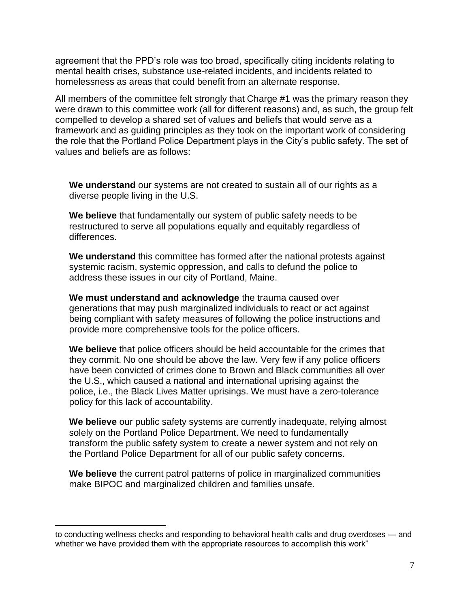agreement that the PPD's role was too broad, specifically citing incidents relating to mental health crises, substance use-related incidents, and incidents related to homelessness as areas that could benefit from an alternate response.

All members of the committee felt strongly that Charge #1 was the primary reason they were drawn to this committee work (all for different reasons) and, as such, the group felt compelled to develop a shared set of values and beliefs that would serve as a framework and as guiding principles as they took on the important work of considering the role that the Portland Police Department plays in the City's public safety. The set of values and beliefs are as follows:

**We understand** our systems are not created to sustain all of our rights as a diverse people living in the U.S.

**We believe** that fundamentally our system of public safety needs to be restructured to serve all populations equally and equitably regardless of differences.

**We understand** this committee has formed after the national protests against systemic racism, systemic oppression, and calls to defund the police to address these issues in our city of Portland, Maine.

**We must understand and acknowledge** the trauma caused over generations that may push marginalized individuals to react or act against being compliant with safety measures of following the police instructions and provide more comprehensive tools for the police officers.

**We believe** that police officers should be held accountable for the crimes that they commit. No one should be above the law. Very few if any police officers have been convicted of crimes done to Brown and Black communities all over the U.S., which caused a national and international uprising against the police, i.e., the Black Lives Matter uprisings. We must have a zero-tolerance policy for this lack of accountability.

**We believe** our public safety systems are currently inadequate, relying almost solely on the Portland Police Department. We need to fundamentally transform the public safety system to create a newer system and not rely on the Portland Police Department for all of our public safety concerns.

**We believe** the current patrol patterns of police in marginalized communities make BIPOC and marginalized children and families unsafe.

to conducting wellness checks and responding to behavioral health calls and drug overdoses — and whether we have provided them with the appropriate resources to accomplish this work"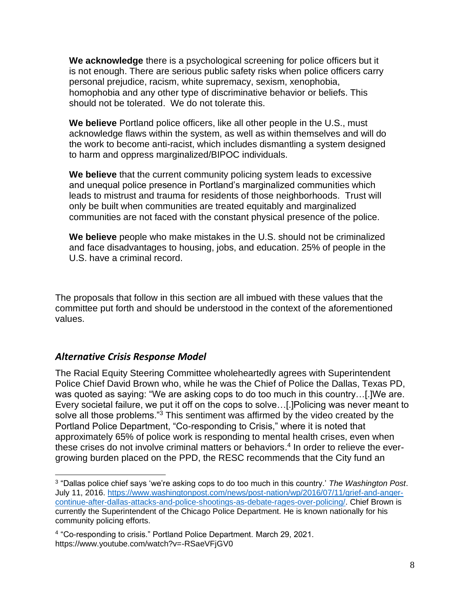**We acknowledge** there is a psychological screening for police officers but it is not enough. There are serious public safety risks when police officers carry personal prejudice, racism, white supremacy, sexism, xenophobia, homophobia and any other type of discriminative behavior or beliefs. This should not be tolerated. We do not tolerate this.

**We believe** Portland police officers, like all other people in the U.S., must acknowledge flaws within the system, as well as within themselves and will do the work to become anti-racist, which includes dismantling a system designed to harm and oppress marginalized/BIPOC individuals.

**We believe** that the current community policing system leads to excessive and unequal police presence in Portland's marginalized communities which leads to mistrust and trauma for residents of those neighborhoods. Trust will only be built when communities are treated equitably and marginalized communities are not faced with the constant physical presence of the police.

**We believe** people who make mistakes in the U.S. should not be criminalized and face disadvantages to housing, jobs, and education. 25% of people in the U.S. have a criminal record.

The proposals that follow in this section are all imbued with these values that the committee put forth and should be understood in the context of the aforementioned values.

#### <span id="page-8-0"></span>*Alternative Crisis Response Model*

The Racial Equity Steering Committee wholeheartedly agrees with Superintendent Police Chief David Brown who, while he was the Chief of Police the Dallas, Texas PD, was quoted as saying: "We are asking cops to do too much in this country…[.]We are. Every societal failure, we put it off on the cops to solve…[.]Policing was never meant to solve all those problems."<sup>3</sup> This sentiment was affirmed by the video created by the Portland Police Department, "Co-responding to Crisis," where it is noted that approximately 65% of police work is responding to mental health crises, even when these crises do not involve criminal matters or behaviors. 4 In order to relieve the evergrowing burden placed on the PPD, the RESC recommends that the City fund an

<sup>3</sup> "Dallas police chief says 'we're asking cops to do too much in this country.' *The Washington Post*. July 11, 2016. [https://www.washingtonpost.com/news/post-nation/wp/2016/07/11/grief-and-anger](https://www.washingtonpost.com/news/post-nation/wp/2016/07/11/grief-and-anger-continue-after-dallas-attacks-and-police-shootings-as-debate-rages-over-policing/)[continue-after-dallas-attacks-and-police-shootings-as-debate-rages-over-policing/.](https://www.washingtonpost.com/news/post-nation/wp/2016/07/11/grief-and-anger-continue-after-dallas-attacks-and-police-shootings-as-debate-rages-over-policing/) Chief Brown is currently the Superintendent of the Chicago Police Department. He is known nationally for his community policing efforts.

<sup>4</sup> "Co-responding to crisis." Portland Police Department. March 29, 2021. https://www.youtube.com/watch?v=-RSaeVFjGV0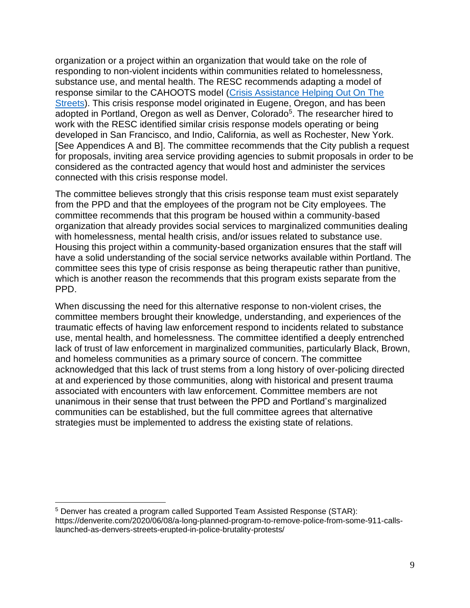organization or a project within an organization that would take on the role of responding to non-violent incidents within communities related to homelessness, substance use, and mental health. The RESC recommends adapting a model of response similar to the CAHOOTS model [\(Crisis Assistance Helping Out On The](https://whitebirdclinic.org/cahoots/)  [Streets\)](https://whitebirdclinic.org/cahoots/). This crisis response model originated in Eugene, Oregon, and has been adopted in Portland, Oregon as well as Denver, Colorado<sup>5</sup>. The researcher hired to work with the RESC identified similar crisis response models operating or being developed in San Francisco, and Indio, California, as well as Rochester, New York. [See Appendices A and B]. The committee recommends that the City publish a request for proposals, inviting area service providing agencies to submit proposals in order to be considered as the contracted agency that would host and administer the services connected with this crisis response model.

The committee believes strongly that this crisis response team must exist separately from the PPD and that the employees of the program not be City employees. The committee recommends that this program be housed within a community-based organization that already provides social services to marginalized communities dealing with homelessness, mental health crisis, and/or issues related to substance use. Housing this project within a community-based organization ensures that the staff will have a solid understanding of the social service networks available within Portland. The committee sees this type of crisis response as being therapeutic rather than punitive, which is another reason the recommends that this program exists separate from the PPD.

When discussing the need for this alternative response to non-violent crises, the committee members brought their knowledge, understanding, and experiences of the traumatic effects of having law enforcement respond to incidents related to substance use, mental health, and homelessness. The committee identified a deeply entrenched lack of trust of law enforcement in marginalized communities, particularly Black, Brown, and homeless communities as a primary source of concern. The committee acknowledged that this lack of trust stems from a long history of over-policing directed at and experienced by those communities, along with historical and present trauma associated with encounters with law enforcement. Committee members are not unanimous in their sense that trust between the PPD and Portland's marginalized communities can be established, but the full committee agrees that alternative strategies must be implemented to address the existing state of relations.

<sup>5</sup> Denver has created a program called Supported Team Assisted Response (STAR): https://denverite.com/2020/06/08/a-long-planned-program-to-remove-police-from-some-911-callslaunched-as-denvers-streets-erupted-in-police-brutality-protests/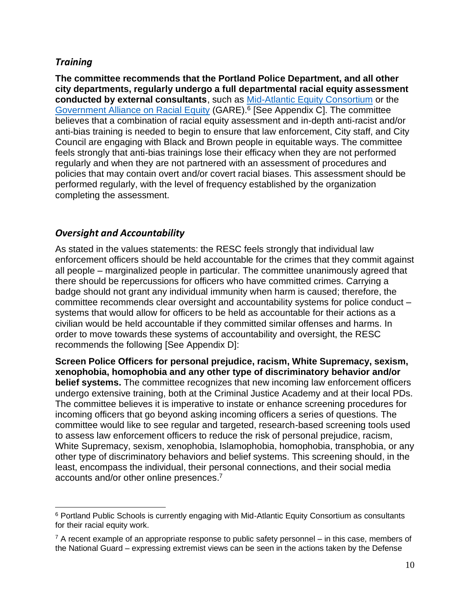### <span id="page-10-0"></span>*Training*

**The committee recommends that the Portland Police Department, and all other city departments, regularly undergo a full departmental racial equity assessment conducted by external consultants**, such as [Mid-Atlantic Equity Consortium](https://maec.org/) or the [Government Alliance on Racial Equity](https://www.racialequityalliance.org/) (GARE).<sup>6</sup> [See Appendix C]. The committee believes that a combination of racial equity assessment and in-depth anti-racist and/or anti-bias training is needed to begin to ensure that law enforcement, City staff, and City Council are engaging with Black and Brown people in equitable ways. The committee feels strongly that anti-bias trainings lose their efficacy when they are not performed regularly and when they are not partnered with an assessment of procedures and policies that may contain overt and/or covert racial biases. This assessment should be performed regularly, with the level of frequency established by the organization completing the assessment.

### <span id="page-10-1"></span>*Oversight and Accountability*

As stated in the values statements: the RESC feels strongly that individual law enforcement officers should be held accountable for the crimes that they commit against all people – marginalized people in particular. The committee unanimously agreed that there should be repercussions for officers who have committed crimes. Carrying a badge should not grant any individual immunity when harm is caused; therefore, the committee recommends clear oversight and accountability systems for police conduct – systems that would allow for officers to be held as accountable for their actions as a civilian would be held accountable if they committed similar offenses and harms. In order to move towards these systems of accountability and oversight, the RESC recommends the following [See Appendix D]:

**Screen Police Officers for personal prejudice, racism, White Supremacy, sexism, xenophobia, homophobia and any other type of discriminatory behavior and/or belief systems.** The committee recognizes that new incoming law enforcement officers undergo extensive training, both at the Criminal Justice Academy and at their local PDs. The committee believes it is imperative to instate or enhance screening procedures for incoming officers that go beyond asking incoming officers a series of questions. The committee would like to see regular and targeted, research-based screening tools used to assess law enforcement officers to reduce the risk of personal prejudice, racism, White Supremacy, sexism, xenophobia, Islamophobia, homophobia, transphobia, or any other type of discriminatory behaviors and belief systems. This screening should, in the least, encompass the individual, their personal connections, and their social media accounts and/or other online presences. 7

<sup>6</sup> Portland Public Schools is currently engaging with Mid-Atlantic Equity Consortium as consultants for their racial equity work.

 $7$  A recent example of an appropriate response to public safety personnel – in this case, members of the National Guard – expressing extremist views can be seen in the actions taken by the Defense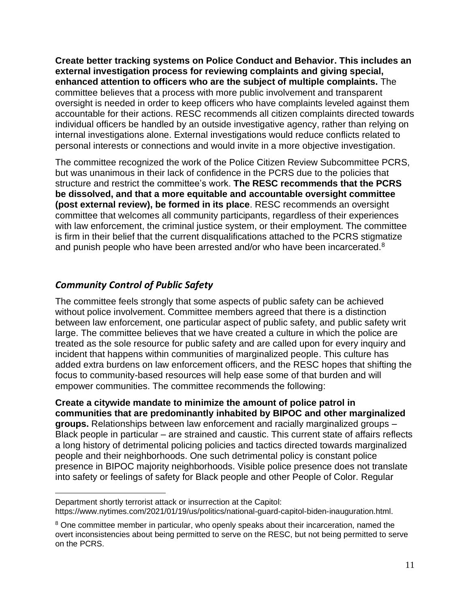**Create better tracking systems on Police Conduct and Behavior. This includes an external investigation process for reviewing complaints and giving special, enhanced attention to officers who are the subject of multiple complaints.** The committee believes that a process with more public involvement and transparent oversight is needed in order to keep officers who have complaints leveled against them accountable for their actions. RESC recommends all citizen complaints directed towards individual officers be handled by an outside investigative agency, rather than relying on internal investigations alone. External investigations would reduce conflicts related to personal interests or connections and would invite in a more objective investigation.

The committee recognized the work of the Police Citizen Review Subcommittee PCRS, but was unanimous in their lack of confidence in the PCRS due to the policies that structure and restrict the committee's work. **The RESC recommends that the PCRS be dissolved, and that a more equitable and accountable oversight committee (post external review), be formed in its place**. RESC recommends an oversight committee that welcomes all community participants, regardless of their experiences with law enforcement, the criminal justice system, or their employment. The committee is firm in their belief that the current disqualifications attached to the PCRS stigmatize and punish people who have been arrested and/or who have been incarcerated.<sup>8</sup>

## <span id="page-11-0"></span>*Community Control of Public Safety*

The committee feels strongly that some aspects of public safety can be achieved without police involvement. Committee members agreed that there is a distinction between law enforcement, one particular aspect of public safety, and public safety writ large. The committee believes that we have created a culture in which the police are treated as the sole resource for public safety and are called upon for every inquiry and incident that happens within communities of marginalized people. This culture has added extra burdens on law enforcement officers, and the RESC hopes that shifting the focus to community-based resources will help ease some of that burden and will empower communities. The committee recommends the following:

**Create a citywide mandate to minimize the amount of police patrol in communities that are predominantly inhabited by BIPOC and other marginalized groups.** Relationships between law enforcement and racially marginalized groups – Black people in particular – are strained and caustic. This current state of affairs reflects a long history of detrimental policing policies and tactics directed towards marginalized people and their neighborhoods. One such detrimental policy is constant police presence in BIPOC majority neighborhoods. Visible police presence does not translate into safety or feelings of safety for Black people and other People of Color. Regular

Department shortly terrorist attack or insurrection at the Capitol: https://www.nytimes.com/2021/01/19/us/politics/national-guard-capitol-biden-inauguration.html.

<sup>&</sup>lt;sup>8</sup> One committee member in particular, who openly speaks about their incarceration, named the overt inconsistencies about being permitted to serve on the RESC, but not being permitted to serve on the PCRS.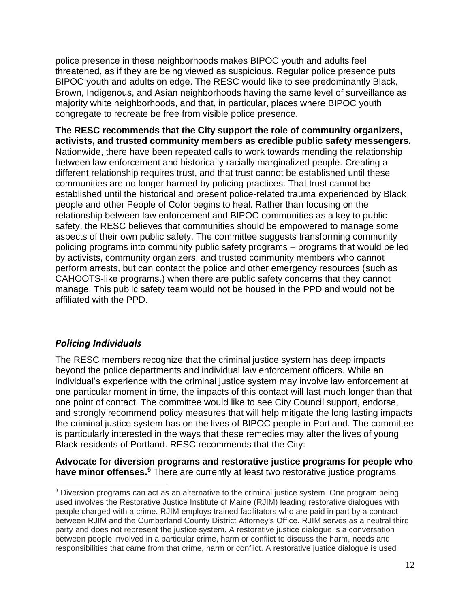police presence in these neighborhoods makes BIPOC youth and adults feel threatened, as if they are being viewed as suspicious. Regular police presence puts BIPOC youth and adults on edge. The RESC would like to see predominantly Black, Brown, Indigenous, and Asian neighborhoods having the same level of surveillance as majority white neighborhoods, and that, in particular, places where BIPOC youth congregate to recreate be free from visible police presence.

**The RESC recommends that the City support the role of community organizers, activists, and trusted community members as credible public safety messengers.** Nationwide, there have been repeated calls to work towards mending the relationship between law enforcement and historically racially marginalized people. Creating a different relationship requires trust, and that trust cannot be established until these communities are no longer harmed by policing practices. That trust cannot be established until the historical and present police-related trauma experienced by Black people and other People of Color begins to heal. Rather than focusing on the relationship between law enforcement and BIPOC communities as a key to public safety, the RESC believes that communities should be empowered to manage some aspects of their own public safety. The committee suggests transforming community policing programs into community public safety programs – programs that would be led by activists, community organizers, and trusted community members who cannot perform arrests, but can contact the police and other emergency resources (such as CAHOOTS-like programs.) when there are public safety concerns that they cannot manage. This public safety team would not be housed in the PPD and would not be affiliated with the PPD.

## <span id="page-12-0"></span>*Policing Individuals*

The RESC members recognize that the criminal justice system has deep impacts beyond the police departments and individual law enforcement officers. While an individual's experience with the criminal justice system may involve law enforcement at one particular moment in time, the impacts of this contact will last much longer than that one point of contact. The committee would like to see City Council support, endorse, and strongly recommend policy measures that will help mitigate the long lasting impacts the criminal justice system has on the lives of BIPOC people in Portland. The committee is particularly interested in the ways that these remedies may alter the lives of young Black residents of Portland. RESC recommends that the City:

**Advocate for diversion programs and restorative justice programs for people who have minor offenses.<sup>9</sup>** There are currently at least two restorative justice programs

<sup>&</sup>lt;sup>9</sup> Diversion programs can act as an alternative to the criminal justice system. One program being used involves the Restorative Justice Institute of Maine (RJIM) leading restorative dialogues with people charged with a crime. RJIM employs trained facilitators who are paid in part by a contract between RJIM and the Cumberland County District Attorney's Office. RJIM serves as a neutral third party and does not represent the justice system. A restorative justice dialogue is a conversation between people involved in a particular crime, harm or conflict to discuss the harm, needs and responsibilities that came from that crime, harm or conflict. A restorative justice dialogue is used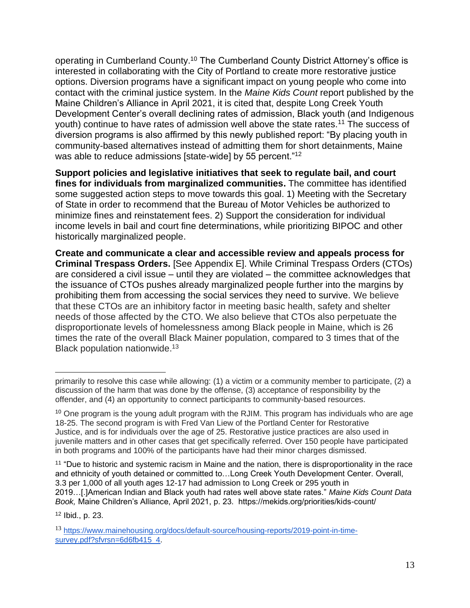operating in Cumberland County.<sup>10</sup> The Cumberland County District Attorney's office is interested in collaborating with the City of Portland to create more restorative justice options. Diversion programs have a significant impact on young people who come into contact with the criminal justice system. In the *Maine Kids Count* report published by the Maine Children's Alliance in April 2021, it is cited that, despite Long Creek Youth Development Center's overall declining rates of admission, Black youth (and Indigenous youth) continue to have rates of admission well above the state rates.<sup>11</sup> The success of diversion programs is also affirmed by this newly published report: "By placing youth in community-based alternatives instead of admitting them for short detainments, Maine was able to reduce admissions [state-wide] by 55 percent."<sup>12</sup>

**Support policies and legislative initiatives that seek to regulate bail, and court fines for individuals from marginalized communities.** The committee has identified some suggested action steps to move towards this goal. 1) Meeting with the Secretary of State in order to recommend that the Bureau of Motor Vehicles be authorized to minimize fines and reinstatement fees. 2) Support the consideration for individual income levels in bail and court fine determinations, while prioritizing BIPOC and other historically marginalized people.

**Create and communicate a clear and accessible review and appeals process for Criminal Trespass Orders.** [See Appendix E]. While Criminal Trespass Orders (CTOs) are considered a civil issue – until they are violated – the committee acknowledges that the issuance of CTOs pushes already marginalized people further into the margins by prohibiting them from accessing the social services they need to survive. We believe that these CTOs are an inhibitory factor in meeting basic health, safety and shelter needs of those affected by the CTO. We also believe that CTOs also perpetuate the disproportionate levels of homelessness among Black people in Maine, which is 26 times the rate of the overall Black Mainer population, compared to 3 times that of the Black population nationwide.<sup>13</sup>

<sup>11</sup> "Due to historic and systemic racism in Maine and the nation, there is disproportionality in the race and ethnicity of youth detained or committed to…Long Creek Youth Development Center. Overall, 3.3 per 1,000 of all youth ages 12-17 had admission to Long Creek or 295 youth in 2019…[.]American Indian and Black youth had rates well above state rates." *Maine Kids Count Data Book,* Maine Children's Alliance, April 2021, p. 23. https://mekids.org/priorities/kids-count/

<sup>12</sup> Ibid., p. 23.

primarily to resolve this case while allowing: (1) a victim or a community member to participate, (2) a discussion of the harm that was done by the offense, (3) acceptance of responsibility by the offender, and (4) an opportunity to connect participants to community-based resources.

<sup>&</sup>lt;sup>10</sup> One program is the young adult program with the RJIM. This program has individuals who are age 18-25. The second program is with Fred Van Liew of the Portland Center for Restorative Justice, and is for individuals over the age of 25. Restorative justice practices are also used in juvenile matters and in other cases that get specifically referred. Over 150 people have participated in both programs and 100% of the participants have had their minor charges dismissed.

<sup>13</sup> [https://www.mainehousing.org/docs/default-source/housing-reports/2019-point-in-time](https://www.mainehousing.org/docs/default-source/housing-reports/2019-point-in-time-survey.pdf?sfvrsn=6d6fb415_4)survey.pdf?sfvrsn=6d6fb415\_4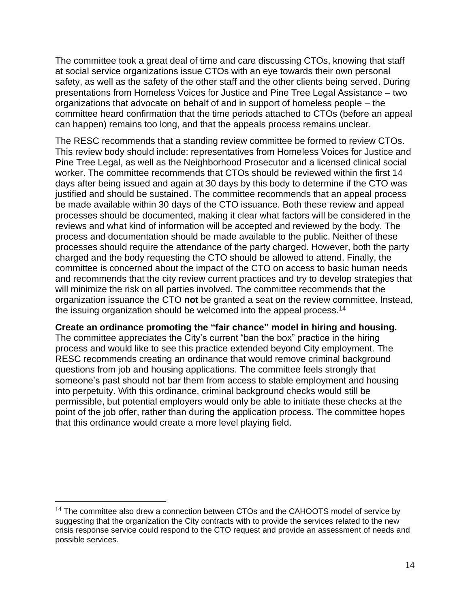The committee took a great deal of time and care discussing CTOs, knowing that staff at social service organizations issue CTOs with an eye towards their own personal safety, as well as the safety of the other staff and the other clients being served. During presentations from Homeless Voices for Justice and Pine Tree Legal Assistance – two organizations that advocate on behalf of and in support of homeless people – the committee heard confirmation that the time periods attached to CTOs (before an appeal can happen) remains too long, and that the appeals process remains unclear.

The RESC recommends that a standing review committee be formed to review CTOs. This review body should include: representatives from Homeless Voices for Justice and Pine Tree Legal, as well as the Neighborhood Prosecutor and a licensed clinical social worker. The committee recommends that CTOs should be reviewed within the first 14 days after being issued and again at 30 days by this body to determine if the CTO was justified and should be sustained. The committee recommends that an appeal process be made available within 30 days of the CTO issuance. Both these review and appeal processes should be documented, making it clear what factors will be considered in the reviews and what kind of information will be accepted and reviewed by the body. The process and documentation should be made available to the public. Neither of these processes should require the attendance of the party charged. However, both the party charged and the body requesting the CTO should be allowed to attend. Finally, the committee is concerned about the impact of the CTO on access to basic human needs and recommends that the city review current practices and try to develop strategies that will minimize the risk on all parties involved. The committee recommends that the organization issuance the CTO **not** be granted a seat on the review committee. Instead, the issuing organization should be welcomed into the appeal process.<sup>14</sup>

**Create an ordinance promoting the "fair chance" model in hiring and housing.**  The committee appreciates the City's current "ban the box" practice in the hiring process and would like to see this practice extended beyond City employment. The RESC recommends creating an ordinance that would remove criminal background questions from job and housing applications. The committee feels strongly that someone's past should not bar them from access to stable employment and housing into perpetuity. With this ordinance, criminal background checks would still be permissible, but potential employers would only be able to initiate these checks at the point of the job offer, rather than during the application process. The committee hopes that this ordinance would create a more level playing field.

 $14$  The committee also drew a connection between CTOs and the CAHOOTS model of service by suggesting that the organization the City contracts with to provide the services related to the new crisis response service could respond to the CTO request and provide an assessment of needs and possible services.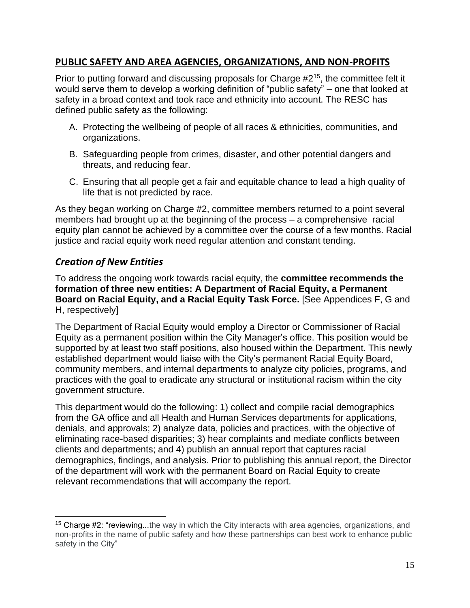## <span id="page-15-0"></span>**PUBLIC SAFETY AND AREA AGENCIES, ORGANIZATIONS, AND NON-PROFITS**

Prior to putting forward and discussing proposals for Charge #2<sup>15</sup>, the committee felt it would serve them to develop a working definition of "public safety" – one that looked at safety in a broad context and took race and ethnicity into account. The RESC has defined public safety as the following:

- A. Protecting the wellbeing of people of all races & ethnicities, communities, and organizations.
- B. Safeguarding people from crimes, disaster, and other potential dangers and threats, and reducing fear.
- C. Ensuring that all people get a fair and equitable chance to lead a high quality of life that is not predicted by race.

As they began working on Charge #2, committee members returned to a point several members had brought up at the beginning of the process – a comprehensive racial equity plan cannot be achieved by a committee over the course of a few months. Racial justice and racial equity work need regular attention and constant tending.

### <span id="page-15-1"></span>*Creation of New Entities*

To address the ongoing work towards racial equity, the **committee recommends the formation of three new entities: A Department of Racial Equity, a Permanent Board on Racial Equity, and a Racial Equity Task Force.** [See Appendices F, G and H, respectively]

The Department of Racial Equity would employ a Director or Commissioner of Racial Equity as a permanent position within the City Manager's office. This position would be supported by at least two staff positions, also housed within the Department. This newly established department would liaise with the City's permanent Racial Equity Board, community members, and internal departments to analyze city policies, programs, and practices with the goal to eradicate any structural or institutional racism within the city government structure.

This department would do the following: 1) collect and compile racial demographics from the GA office and all Health and Human Services departments for applications, denials, and approvals; 2) analyze data, policies and practices, with the objective of eliminating race-based disparities; 3) hear complaints and mediate conflicts between clients and departments; and 4) publish an annual report that captures racial demographics, findings, and analysis. Prior to publishing this annual report, the Director of the department will work with the permanent Board on Racial Equity to create relevant recommendations that will accompany the report.

<sup>&</sup>lt;sup>15</sup> Charge #2: "reviewing...the way in which the City interacts with area agencies, organizations, and non-profits in the name of public safety and how these partnerships can best work to enhance public safety in the City"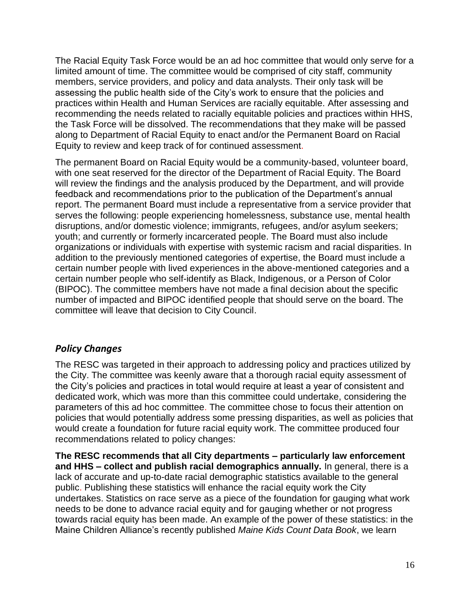The Racial Equity Task Force would be an ad hoc committee that would only serve for a limited amount of time. The committee would be comprised of city staff, community members, service providers, and policy and data analysts. Their only task will be assessing the public health side of the City's work to ensure that the policies and practices within Health and Human Services are racially equitable. After assessing and recommending the needs related to racially equitable policies and practices within HHS, the Task Force will be dissolved. The recommendations that they make will be passed along to Department of Racial Equity to enact and/or the Permanent Board on Racial Equity to review and keep track of for continued assessment.

The permanent Board on Racial Equity would be a community-based, volunteer board, with one seat reserved for the director of the Department of Racial Equity. The Board will review the findings and the analysis produced by the Department, and will provide feedback and recommendations prior to the publication of the Department's annual report. The permanent Board must include a representative from a service provider that serves the following: people experiencing homelessness, substance use, mental health disruptions, and/or domestic violence; immigrants, refugees, and/or asylum seekers; youth; and currently or formerly incarcerated people. The Board must also include organizations or individuals with expertise with systemic racism and racial disparities. In addition to the previously mentioned categories of expertise, the Board must include a certain number people with lived experiences in the above-mentioned categories and a certain number people who self-identify as Black, Indigenous, or a Person of Color (BIPOC). The committee members have not made a final decision about the specific number of impacted and BIPOC identified people that should serve on the board. The committee will leave that decision to City Council.

#### <span id="page-16-0"></span>*Policy Changes*

The RESC was targeted in their approach to addressing policy and practices utilized by the City. The committee was keenly aware that a thorough racial equity assessment of the City's policies and practices in total would require at least a year of consistent and dedicated work, which was more than this committee could undertake, considering the parameters of this ad hoc committee. The committee chose to focus their attention on policies that would potentially address some pressing disparities, as well as policies that would create a foundation for future racial equity work. The committee produced four recommendations related to policy changes:

**The RESC recommends that all City departments – particularly law enforcement and HHS – collect and publish racial demographics annually.** In general, there is a lack of accurate and up-to-date racial demographic statistics available to the general public. Publishing these statistics will enhance the racial equity work the City undertakes. Statistics on race serve as a piece of the foundation for gauging what work needs to be done to advance racial equity and for gauging whether or not progress towards racial equity has been made. An example of the power of these statistics: in the Maine Children Alliance's recently published *Maine Kids Count Data Book*, we learn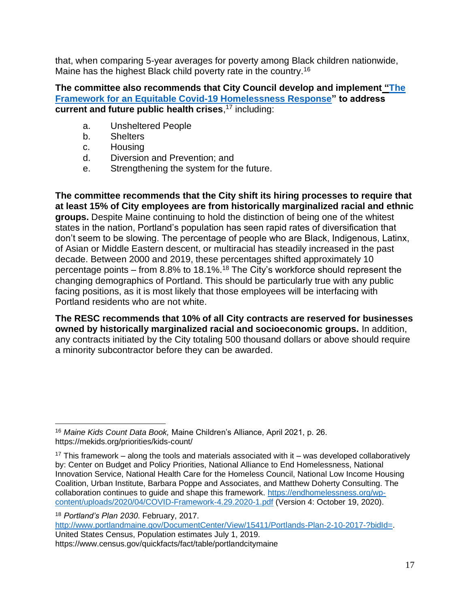that, when comparing 5-year averages for poverty among Black children nationwide, Maine has the highest Black child poverty rate in the country.<sup>16</sup>

**The committee also recommends that City Council develop and implemen[t](https://endhomelessness.org/wp-content/uploads/2020/04/COVID-Framework-4.29.2020-1.pdf) ["The](https://endhomelessness.org/wp-content/uploads/2020/04/COVID-Framework-4.29.2020-1.pdf)  [Framework for an Equitable Covid-19 Homelessness Response"](https://endhomelessness.org/wp-content/uploads/2020/04/COVID-Framework-4.29.2020-1.pdf) to address current and future public health crises**, <sup>17</sup> including:

- a. Unsheltered People
- b. Shelters
- c. Housing
- d. Diversion and Prevention; and
- e. Strengthening the system for the future.

**The committee recommends that the City shift its hiring processes to require that at least 15% of City employees are from historically marginalized racial and ethnic groups.** Despite Maine continuing to hold the distinction of being one of the whitest states in the nation, Portland's population has seen rapid rates of diversification that don't seem to be slowing. The percentage of people who are Black, Indigenous, Latinx, of Asian or Middle Eastern descent, or multiracial has steadily increased in the past decade. Between 2000 and 2019, these percentages shifted approximately 10 percentage points – from 8.8% to 18.1%.<sup>18</sup> The City's workforce should represent the changing demographics of Portland. This should be particularly true with any public facing positions, as it is most likely that those employees will be interfacing with Portland residents who are not white.

**The RESC recommends that 10% of all City contracts are reserved for businesses owned by historically marginalized racial and socioeconomic groups.** In addition, any contracts initiated by the City totaling 500 thousand dollars or above should require a minority subcontractor before they can be awarded.

[http://www.portlandmaine.gov/DocumentCenter/View/15411/Portlands-Plan-2-10-2017-?bidId=.](http://www.portlandmaine.gov/DocumentCenter/View/15411/Portlands-Plan-2-10-2017-?bidId=) United States Census, Population estimates July 1, 2019. https://www.census.gov/quickfacts/fact/table/portlandcitymaine

<sup>16</sup> *Maine Kids Count Data Book,* Maine Children's Alliance, April 2021, p. 26. https://mekids.org/priorities/kids-count/

 $17$  This framework – along the tools and materials associated with it – was developed collaboratively by: Center on Budget and Policy Priorities, National Alliance to End Homelessness, National Innovation Service, National Health Care for the Homeless Council, National Low Income Housing Coalition, Urban Institute, Barbara Poppe and Associates, and Matthew Doherty Consulting. The collaboration continues to guide and shape this framework. [https://endhomelessness.org/wp](https://endhomelessness.org/wp-content/uploads/2020/04/COVID-Framework-4.29.2020-1.pdf)[content/uploads/2020/04/COVID-Framework-4.29.2020-1.pdf](https://endhomelessness.org/wp-content/uploads/2020/04/COVID-Framework-4.29.2020-1.pdf) (Version 4: October 19, 2020).

<sup>18</sup> *Portland's Plan 2030*. February, 2017.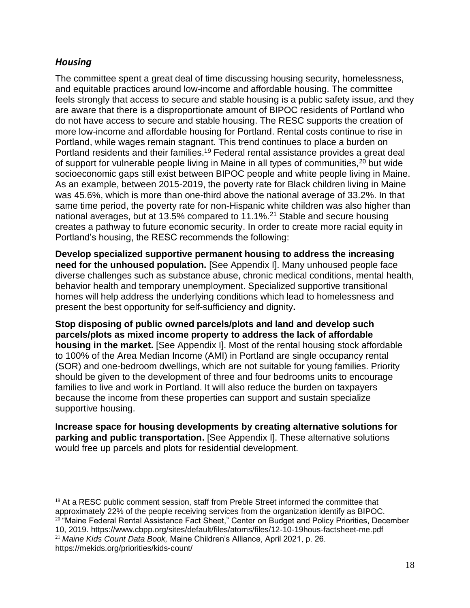## <span id="page-18-0"></span>*Housing*

The committee spent a great deal of time discussing housing security, homelessness, and equitable practices around low-income and affordable housing. The committee feels strongly that access to secure and stable housing is a public safety issue, and they are aware that there is a disproportionate amount of BIPOC residents of Portland who do not have access to secure and stable housing. The RESC supports the creation of more low-income and affordable housing for Portland. Rental costs continue to rise in Portland, while wages remain stagnant. This trend continues to place a burden on Portland residents and their families.<sup>19</sup> Federal rental assistance provides a great deal of support for vulnerable people living in Maine in all types of communities,<sup>20</sup> but wide socioeconomic gaps still exist between BIPOC people and white people living in Maine. As an example, between 2015-2019, the poverty rate for Black children living in Maine was 45.6%, which is more than one-third above the national average of 33.2%. In that same time period, the poverty rate for non-Hispanic white children was also higher than national averages, but at 13.5% compared to 11.1%.<sup>21</sup> Stable and secure housing creates a pathway to future economic security. In order to create more racial equity in Portland's housing, the RESC recommends the following:

**Develop specialized supportive permanent housing to address the increasing need for the unhoused population.** [See Appendix I]. Many unhoused people face diverse challenges such as substance abuse, chronic medical conditions, mental health, behavior health and temporary unemployment. Specialized supportive transitional homes will help address the underlying conditions which lead to homelessness and present the best opportunity for self-sufficiency and dignity**.** 

**Stop disposing of public owned parcels/plots and land and develop such parcels/plots as mixed income property to address the lack of affordable housing in the market.** [See Appendix I]. Most of the rental housing stock affordable to 100% of the Area Median Income (AMI) in Portland are single occupancy rental (SOR) and one-bedroom dwellings, which are not suitable for young families. Priority should be given to the development of three and four bedrooms units to encourage families to live and work in Portland. It will also reduce the burden on taxpayers because the income from these properties can support and sustain specialize supportive housing.

**Increase space for housing developments by creating alternative solutions for parking and public transportation.** [See Appendix I]. These alternative solutions would free up parcels and plots for residential development.

 $19$  At a RESC public comment session, staff from Preble Street informed the committee that approximately 22% of the people receiving services from the organization identify as BIPOC. <sup>20</sup> "Maine Federal Rental Assistance Fact Sheet," Center on Budget and Policy Priorities, December 10, 2019. https://www.cbpp.org/sites/default/files/atoms/files/12-10-19hous-factsheet-me.pdf <sup>21</sup> *Maine Kids Count Data Book,* Maine Children's Alliance, April 2021, p. 26.

https://mekids.org/priorities/kids-count/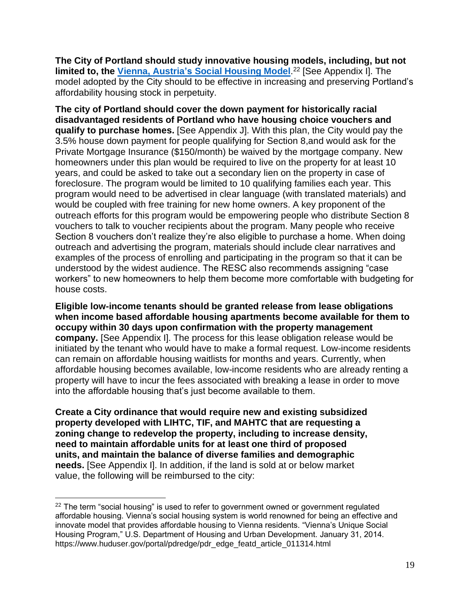**The City of Portland should study innovative housing models, including, but not limited to, the Vienna, Austria's [Social Housing Model](https://www.huduser.gov/portal/pdredge/pdr_edge_featd_article_011314.html)**. <sup>22</sup> [See Appendix I]. The model adopted by the City should to be effective in increasing and preserving Portland's affordability housing stock in perpetuity.

**The city of Portland should cover the down payment for historically racial disadvantaged residents of Portland who have housing choice vouchers and qualify to purchase homes.** [See Appendix J]. With this plan, the City would pay the 3.5% house down payment for people qualifying for Section 8,and would ask for the Private Mortgage Insurance (\$150/month) be waived by the mortgage company. New homeowners under this plan would be required to live on the property for at least 10 years, and could be asked to take out a secondary lien on the property in case of foreclosure. The program would be limited to 10 qualifying families each year. This program would need to be advertised in clear language (with translated materials) and would be coupled with free training for new home owners. A key proponent of the outreach efforts for this program would be empowering people who distribute Section 8 vouchers to talk to voucher recipients about the program. Many people who receive Section 8 vouchers don't realize they're also eligible to purchase a home. When doing outreach and advertising the program, materials should include clear narratives and examples of the process of enrolling and participating in the program so that it can be understood by the widest audience. The RESC also recommends assigning "case workers" to new homeowners to help them become more comfortable with budgeting for house costs.

**Eligible low-income tenants should be granted release from lease obligations when income based affordable housing apartments become available for them to occupy within 30 days upon confirmation with the property management company.** [See Appendix I]. The process for this lease obligation release would be initiated by the tenant who would have to make a formal request. Low-income residents can remain on affordable housing waitlists for months and years. Currently, when affordable housing becomes available, low-income residents who are already renting a property will have to incur the fees associated with breaking a lease in order to move into the affordable housing that's just become available to them.

**Create a City ordinance that would require new and existing subsidized property developed with LIHTC, TIF, and MAHTC that are requesting a zoning change to redevelop the property, including to increase density, need to maintain affordable units for at least one third of proposed units, and maintain the balance of diverse families and demographic needs.** [See Appendix I]. In addition, if the land is sold at or below market value, the following will be reimbursed to the city:

 $22$  The term "social housing" is used to refer to government owned or government regulated affordable housing. Vienna's social housing system is world renowned for being an effective and innovate model that provides affordable housing to Vienna residents. "Vienna's Unique Social Housing Program," U.S. Department of Housing and Urban Development. January 31, 2014. https://www.huduser.gov/portal/pdredge/pdr\_edge\_featd\_article\_011314.html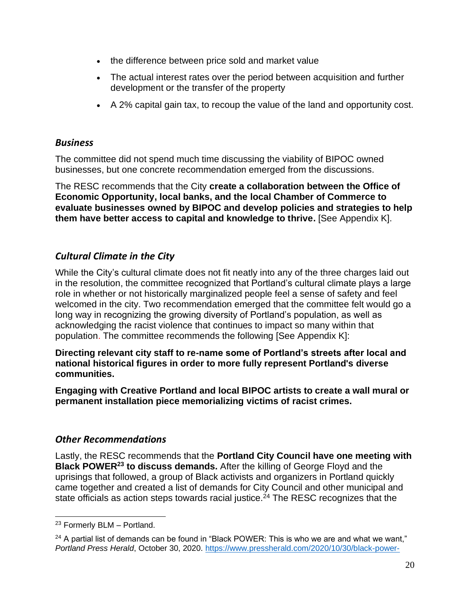- the difference between price sold and market value
- The actual interest rates over the period between acquisition and further development or the transfer of the property
- A 2% capital gain tax, to recoup the value of the land and opportunity cost.

#### <span id="page-20-0"></span>*Business*

The committee did not spend much time discussing the viability of BIPOC owned businesses, but one concrete recommendation emerged from the discussions.

The RESC recommends that the City **create a collaboration between the Office of Economic Opportunity, local banks, and the local Chamber of Commerce to evaluate businesses owned by BIPOC and develop policies and strategies to help them have better access to capital and knowledge to thrive.** [See Appendix K].

## <span id="page-20-1"></span>*Cultural Climate in the City*

While the City's cultural climate does not fit neatly into any of the three charges laid out in the resolution, the committee recognized that Portland's cultural climate plays a large role in whether or not historically marginalized people feel a sense of safety and feel welcomed in the city. Two recommendation emerged that the committee felt would go a long way in recognizing the growing diversity of Portland's population, as well as acknowledging the racist violence that continues to impact so many within that population. The committee recommends the following [See Appendix K]:

**Directing relevant city staff to re-name some of Portland's streets after local and national historical figures in order to more fully represent Portland's diverse communities.**

**Engaging with Creative Portland and local BIPOC artists to create a wall mural or permanent installation piece memorializing victims of racist crimes.** 

## <span id="page-20-2"></span>*Other Recommendations*

Lastly, the RESC recommends that the **Portland City Council have one meeting with Black POWER<sup>23</sup> to discuss demands.** After the killing of George Floyd and the uprisings that followed, a group of Black activists and organizers in Portland quickly came together and created a list of demands for City Council and other municipal and state officials as action steps towards racial justice.<sup>24</sup> The RESC recognizes that the

<sup>23</sup> Formerly BLM – Portland.

<sup>&</sup>lt;sup>24</sup> A partial list of demands can be found in "Black POWER: This is who we are and what we want," *Portland Press Herald*, October 30, 2020. [https://www.pressherald.com/2020/10/30/black-power-](https://www.pressherald.com/2020/10/30/black-power-this-is-who-we-are-and-what-we-want/)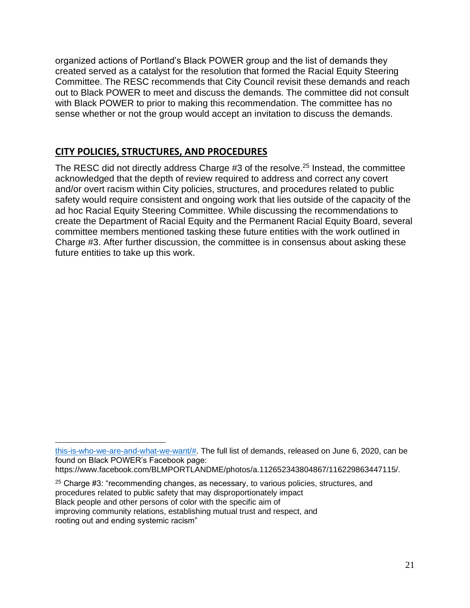organized actions of Portland's Black POWER group and the list of demands they created served as a catalyst for the resolution that formed the Racial Equity Steering Committee. The RESC recommends that City Council revisit these demands and reach out to Black POWER to meet and discuss the demands. The committee did not consult with Black POWER to prior to making this recommendation. The committee has no sense whether or not the group would accept an invitation to discuss the demands.

## <span id="page-21-0"></span>**CITY POLICIES, STRUCTURES, AND PROCEDURES**

The RESC did not directly address Charge #3 of the resolve.<sup>25</sup> Instead, the committee acknowledged that the depth of review required to address and correct any covert and/or overt racism within City policies, structures, and procedures related to public safety would require consistent and ongoing work that lies outside of the capacity of the ad hoc Racial Equity Steering Committee. While discussing the recommendations to create the Department of Racial Equity and the Permanent Racial Equity Board, several committee members mentioned tasking these future entities with the work outlined in Charge #3. After further discussion, the committee is in consensus about asking these future entities to take up this work.

[this-is-who-we-are-and-what-we-want/#.](https://www.pressherald.com/2020/10/30/black-power-this-is-who-we-are-and-what-we-want/) The full list of demands, released on June 6, 2020, can be found on Black POWER's Facebook page:

https://www.facebook.com/BLMPORTLANDME/photos/a.112652343804867/116229863447115/.

<sup>25</sup> Charge #3: "recommending changes, as necessary, to various policies, structures, and procedures related to public safety that may disproportionately impact Black people and other persons of color with the specific aim of improving community relations, establishing mutual trust and respect, and

rooting out and ending systemic racism"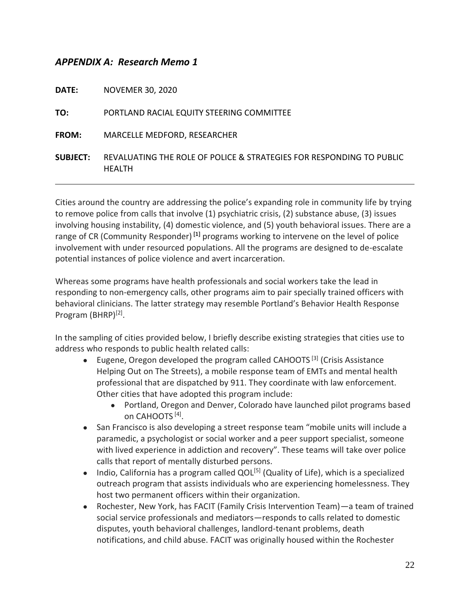#### <span id="page-22-0"></span>*APPENDIX A: Research Memo 1*

| <b>DATE:</b>    | <b>NOVEMER 30, 2020</b>                                                               |
|-----------------|---------------------------------------------------------------------------------------|
| TO:             | PORTLAND RACIAL EQUITY STEERING COMMITTEE                                             |
| <b>FROM:</b>    | MARCELLE MEDFORD, RESEARCHER                                                          |
| <b>SUBJECT:</b> | REVALUATING THE ROLE OF POLICE & STRATEGIES FOR RESPONDING TO PUBLIC<br><b>HEALTH</b> |

Cities around the country are addressing the police's expanding role in community life by trying to remove police from calls that involve (1) psychiatric crisis, (2) substance abuse, (3) issues involving housing instability, (4) domestic violence, and (5) youth behavioral issues. There are a range of CR (Community Responder) **[1]** programs working to intervene on the level of police involvement with under resourced populations. All the programs are designed to de-escalate potential instances of police violence and avert incarceration.

Whereas some programs have health professionals and social workers take the lead in responding to non-emergency calls, other programs aim to pair specially trained officers with behavioral clinicians. The latter strategy may resemble Portland's Behavior Health Response Program (BHRP)<sup>[2]</sup>.

In the sampling of cities provided below, I briefly describe existing strategies that cities use to address who responds to public health related calls:

- **•** Eugene, Oregon developed the program called CAHOOTS<sup>[3]</sup> (Crisis Assistance Helping Out on The Streets), a mobile response team of EMTs and mental health professional that are dispatched by 911. They coordinate with law enforcement. Other cities that have adopted this program include:
	- Portland, Oregon and Denver, Colorado have launched pilot programs based on CAHOOTS [4] .
- San Francisco is also developing a street response team "mobile units will include a paramedic, a psychologist or social worker and a peer support specialist, someone with lived experience in addiction and recovery". These teams will take over police calls that report of mentally disturbed persons.
- Indio, California has a program called QOL<sup>[5]</sup> (Quality of Life), which is a specialized outreach program that assists individuals who are experiencing homelessness. They host two permanent officers within their organization.
- Rochester, New York, has FACIT (Family Crisis Intervention Team)—a team of trained social service professionals and mediators—responds to calls related to domestic disputes, youth behavioral challenges, landlord-tenant problems, death notifications, and child abuse. FACIT was originally housed within the Rochester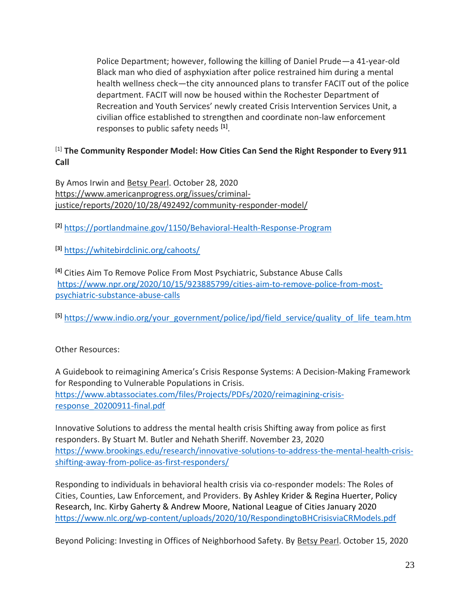Police Department; however, following the killing of Daniel Prude—a 41-year-old Black man who died of asphyxiation after police restrained him during a mental health wellness check—the city announced plans to transfer FACIT out of the police department. FACIT will now be housed within the Rochester Department of Recreation and Youth Services' newly created Crisis Intervention Services Unit, a civilian office established to strengthen and coordinate non-law enforcement responses to public safety needs **[1]** .

#### [1] **The Community Responder Model: How Cities Can Send the Right Responder to Every 911 Call**

By Amos Irwin and [Betsy Pearl.](https://www.americanprogress.org/about/staff/pearl-betsy/bio/) October 28, 2020 [https://www.americanprogress.org/issues/criminal](https://www.americanprogress.org/issues/criminal-justice/reports/2020/10/28/492492/community-responder-model/)[justice/reports/2020/10/28/492492/community-responder-model/](https://www.americanprogress.org/issues/criminal-justice/reports/2020/10/28/492492/community-responder-model/) 

**[2]** <https://portlandmaine.gov/1150/Behavioral-Health-Response-Program>

**[3]** <https://whitebirdclinic.org/cahoots/>

**[4]** Cities Aim To Remove Police From Most Psychiatric, Substance Abuse Calls [https://www.npr.org/2020/10/15/923885799/cities-aim-to-remove-police-from-most](https://www.npr.org/2020/10/15/923885799/cities-aim-to-remove-police-from-most-psychiatric-substance-abuse-calls)[psychiatric-substance-abuse-calls](https://www.npr.org/2020/10/15/923885799/cities-aim-to-remove-police-from-most-psychiatric-substance-abuse-calls)

**[5]** [https://www.indio.org/your\\_government/police/ipd/field\\_service/quality\\_of\\_life\\_team.htm](https://www.indio.org/your_government/police/ipd/field_service/quality_of_life_team.htm)

Other Resources:

A Guidebook to reimagining America's Crisis Response Systems: A Decision-Making Framework for Responding to Vulnerable Populations in Crisis. [https://www.abtassociates.com/files/Projects/PDFs/2020/reimagining-crisis](https://www.abtassociates.com/files/Projects/PDFs/2020/reimagining-crisis-response_20200911-final.pdf)[response\\_20200911-final.pdf](https://www.abtassociates.com/files/Projects/PDFs/2020/reimagining-crisis-response_20200911-final.pdf)

Innovative Solutions to address the mental health crisis Shifting away from police as first responders. By Stuart M. Butler and Nehath Sheriff. November 23, 2020 [https://www.brookings.edu/research/innovative-solutions-to-address-the-mental-health-crisis](https://www.brookings.edu/research/innovative-solutions-to-address-the-mental-health-crisis-shifting-away-from-police-as-first-responders/)[shifting-away-from-police-as-first-responders/](https://www.brookings.edu/research/innovative-solutions-to-address-the-mental-health-crisis-shifting-away-from-police-as-first-responders/)

Responding to individuals in behavioral health crisis via co-responder models: The Roles of Cities, Counties, Law Enforcement, and Providers. By Ashley Krider & Regina Huerter, Policy Research, Inc. Kirby Gaherty & Andrew Moore, National League of Cities January 2020 <https://www.nlc.org/wp-content/uploads/2020/10/RespondingtoBHCrisisviaCRModels.pdf>

Beyond Policing: Investing in Offices of Neighborhood Safety. By [Betsy Pearl.](https://www.americanprogress.org/about/staff/pearl-betsy/bio/) October 15, 2020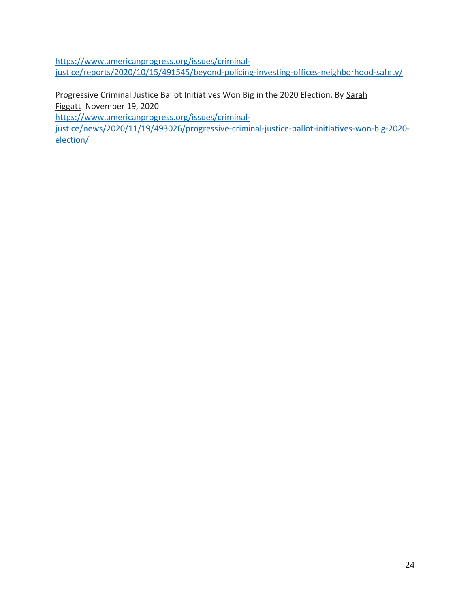[https://www.americanprogress.org/issues/criminal](https://www.americanprogress.org/issues/criminal-justice/reports/2020/10/15/491545/beyond-policing-investing-offices-neighborhood-safety/)[justice/reports/2020/10/15/491545/beyond-policing-investing-offices-neighborhood-safety/](https://www.americanprogress.org/issues/criminal-justice/reports/2020/10/15/491545/beyond-policing-investing-offices-neighborhood-safety/)

Progressive Criminal Justice Ballot Initiatives Won Big in the 2020 Election. By [Sarah](https://www.americanprogress.org/about/staff/figgatt-sarah/bio/)  [Figgatt](https://www.americanprogress.org/about/staff/figgatt-sarah/bio/) November 19, 2020

[https://www.americanprogress.org/issues/criminal-](https://www.americanprogress.org/issues/criminal-justice/news/2020/11/19/493026/progressive-criminal-justice-ballot-initiatives-won-big-2020-election/)

[justice/news/2020/11/19/493026/progressive-criminal-justice-ballot-initiatives-won-big-2020](https://www.americanprogress.org/issues/criminal-justice/news/2020/11/19/493026/progressive-criminal-justice-ballot-initiatives-won-big-2020-election/) [election/](https://www.americanprogress.org/issues/criminal-justice/news/2020/11/19/493026/progressive-criminal-justice-ballot-initiatives-won-big-2020-election/)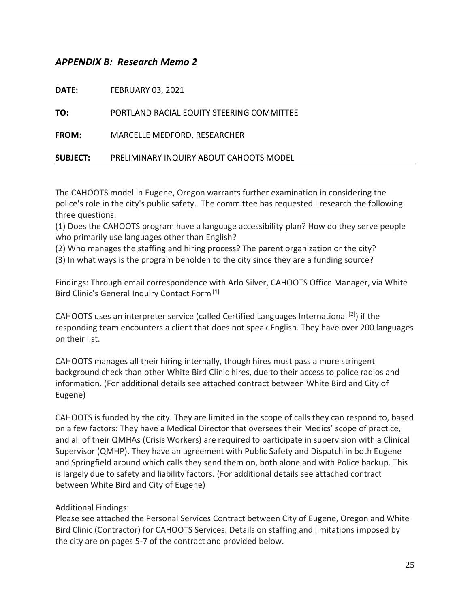#### <span id="page-25-0"></span>*APPENDIX B: Research Memo 2*

| <b>DATE:</b>    | <b>FEBRUARY 03, 2021</b>                  |
|-----------------|-------------------------------------------|
| TO:             | PORTLAND RACIAL EQUITY STEERING COMMITTEE |
| <b>FROM:</b>    | MARCELLE MEDFORD, RESEARCHER              |
| <b>SUBJECT:</b> | PRELIMINARY INQUIRY ABOUT CAHOOTS MODEL   |

The CAHOOTS model in Eugene, Oregon warrants further examination in considering the police's role in the city's public safety. The committee has requested I research the following three questions:

(1) Does the CAHOOTS program have a language accessibility plan? How do they serve people who primarily use languages other than English?

(2) Who manages the staffing and hiring process? The parent organization or the city?

(3) In what ways is the program beholden to the city since they are a funding source?

Findings: Through email correspondence with Arlo Silver, CAHOOTS Office Manager, via White Bird Clinic's General Inquiry Contact Form<sup>[1]</sup>

CAHOOTS uses an interpreter service (called Certified Languages International [2]) if the responding team encounters a client that does not speak English. They have over 200 languages on their list.

CAHOOTS manages all their hiring internally, though hires must pass a more stringent background check than other White Bird Clinic hires, due to their access to police radios and information. (For additional details see attached contract between White Bird and City of Eugene)

CAHOOTS is funded by the city. They are limited in the scope of calls they can respond to, based on a few factors: They have a Medical Director that oversees their Medics' scope of practice, and all of their QMHAs (Crisis Workers) are required to participate in supervision with a Clinical Supervisor (QMHP). They have an agreement with Public Safety and Dispatch in both Eugene and Springfield around which calls they send them on, both alone and with Police backup. This is largely due to safety and liability factors. (For additional details see attached contract between White Bird and City of Eugene)

Additional Findings:

Please see attached the Personal Services Contract between City of Eugene, Oregon and White Bird Clinic (Contractor) for CAHOOTS Services. Details on staffing and limitations imposed by the city are on pages 5-7 of the contract and provided below.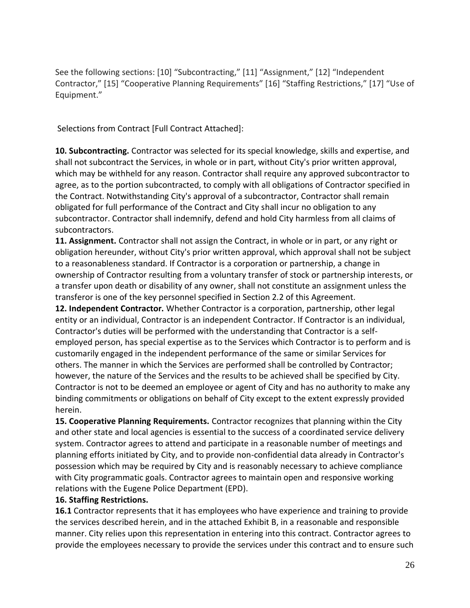See the following sections: [10] "Subcontracting," [11] "Assignment," [12] "Independent Contractor," [15] "Cooperative Planning Requirements" [16] "Staffing Restrictions," [17] "Use of Equipment."

Selections from Contract [Full Contract Attached]:

**10. Subcontracting.** Contractor was selected for its special knowledge, skills and expertise, and shall not subcontract the Services, in whole or in part, without City's prior written approval, which may be withheld for any reason. Contractor shall require any approved subcontractor to agree, as to the portion subcontracted, to comply with all obligations of Contractor specified in the Contract. Notwithstanding City's approval of a subcontractor, Contractor shall remain obligated for full performance of the Contract and City shall incur no obligation to any subcontractor. Contractor shall indemnify, defend and hold City harmless from all claims of subcontractors.

**11. Assignment.** Contractor shall not assign the Contract, in whole or in part, or any right or obligation hereunder, without City's prior written approval, which approval shall not be subject to a reasonableness standard. If Contractor is a corporation or partnership, a change in ownership of Contractor resulting from a voluntary transfer of stock or partnership interests, or a transfer upon death or disability of any owner, shall not constitute an assignment unless the transferor is one of the key personnel specified in Section 2.2 of this Agreement.

**12. Independent Contractor.** Whether Contractor is a corporation, partnership, other legal entity or an individual, Contractor is an independent Contractor. If Contractor is an individual, Contractor's duties will be performed with the understanding that Contractor is a selfemployed person, has special expertise as to the Services which Contractor is to perform and is customarily engaged in the independent performance of the same or similar Services for others. The manner in which the Services are performed shall be controlled by Contractor; however, the nature of the Services and the results to be achieved shall be specified by City. Contractor is not to be deemed an employee or agent of City and has no authority to make any binding commitments or obligations on behalf of City except to the extent expressly provided herein.

**15. Cooperative Planning Requirements.** Contractor recognizes that planning within the City and other state and local agencies is essential to the success of a coordinated service delivery system. Contractor agrees to attend and participate in a reasonable number of meetings and planning efforts initiated by City, and to provide non-confidential data already in Contractor's possession which may be required by City and is reasonably necessary to achieve compliance with City programmatic goals. Contractor agrees to maintain open and responsive working relations with the Eugene Police Department (EPD).

#### **16. Staffing Restrictions.**

**16.1** Contractor represents that it has employees who have experience and training to provide the services described herein, and in the attached Exhibit B, in a reasonable and responsible manner. City relies upon this representation in entering into this contract. Contractor agrees to provide the employees necessary to provide the services under this contract and to ensure such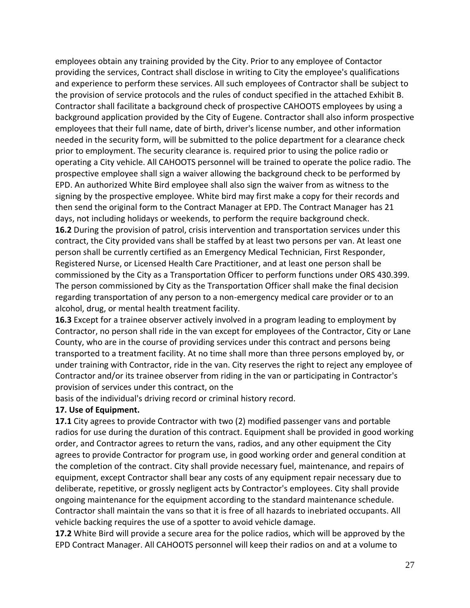employees obtain any training provided by the City. Prior to any employee of Contactor providing the services, Contract shall disclose in writing to City the employee's qualifications and experience to perform these services. All such employees of Contractor shall be subject to the provision of service protocols and the rules of conduct specified in the attached Exhibit B. Contractor shall facilitate a background check of prospective CAHOOTS employees by using a background application provided by the City of Eugene. Contractor shall also inform prospective employees that their full name, date of birth, driver's license number, and other information needed in the security form, will be submitted to the police department for a clearance check prior to employment. The security clearance is. required prior to using the police radio or operating a City vehicle. All CAHOOTS personnel will be trained to operate the police radio. The prospective employee shall sign a waiver allowing the background check to be performed by EPD. An authorized White Bird employee shall also sign the waiver from as witness to the signing by the prospective employee. White bird may first make a copy for their records and then send the original form to the Contract Manager at EPD. The Contract Manager has 21 days, not including holidays or weekends, to perform the require background check. **16.2** During the provision of patrol, crisis intervention and transportation services under this contract, the City provided vans shall be staffed by at least two persons per van. At least one person shall be currently certified as an Emergency Medical Technician, First Responder, Registered Nurse, or Licensed Health Care Practitioner, and at least one person shall be commissioned by the City as a Transportation Officer to perform functions under ORS 430.399. The person commissioned by City as the Transportation Officer shall make the final decision regarding transportation of any person to a non-emergency medical care provider or to an alcohol, drug, or mental health treatment facility.

**16.3** Except for a trainee observer actively involved in a program leading to employment by Contractor, no person shall ride in the van except for employees of the Contractor, City or Lane County, who are in the course of providing services under this contract and persons being transported to a treatment facility. At no time shall more than three persons employed by, or under training with Contractor, ride in the van. City reserves the right to reject any employee of Contractor and/or its trainee observer from riding in the van or participating in Contractor's provision of services under this contract, on the

basis of the individual's driving record or criminal history record.

#### **17. Use of Equipment.**

**17.1** City agrees to provide Contractor with two (2) modified passenger vans and portable radios for use during the duration of this contract. Equipment shall be provided in good working order, and Contractor agrees to return the vans, radios, and any other equipment the City agrees to provide Contractor for program use, in good working order and general condition at the completion of the contract. City shall provide necessary fuel, maintenance, and repairs of equipment, except Contractor shall bear any costs of any equipment repair necessary due to deliberate, repetitive, or grossly negligent acts by Contractor's employees. City shall provide ongoing maintenance for the equipment according to the standard maintenance schedule. Contractor shall maintain the vans so that it is free of all hazards to inebriated occupants. All vehicle backing requires the use of a spotter to avoid vehicle damage.

**17.2** White Bird will provide a secure area for the police radios, which will be approved by the EPD Contract Manager. All CAHOOTS personnel will keep their radios on and at a volume to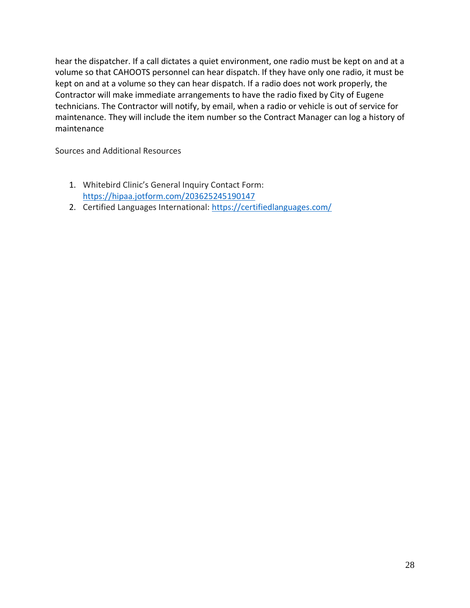hear the dispatcher. If a call dictates a quiet environment, one radio must be kept on and at a volume so that CAHOOTS personnel can hear dispatch. If they have only one radio, it must be kept on and at a volume so they can hear dispatch. If a radio does not work properly, the Contractor will make immediate arrangements to have the radio fixed by City of Eugene technicians. The Contractor will notify, by email, when a radio or vehicle is out of service for maintenance. They will include the item number so the Contract Manager can log a history of maintenance

Sources and Additional Resources

- 1. Whitebird Clinic's General Inquiry Contact Form: <https://hipaa.jotform.com/203625245190147>
- 2. Certified Languages International: <https://certifiedlanguages.com/>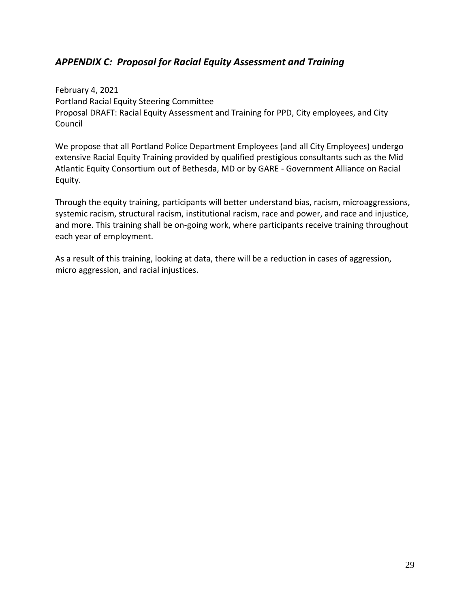## <span id="page-29-0"></span>*APPENDIX C: Proposal for Racial Equity Assessment and Training*

February 4, 2021 Portland Racial Equity Steering Committee Proposal DRAFT: Racial Equity Assessment and Training for PPD, City employees, and City Council

We propose that all Portland Police Department Employees (and all City Employees) undergo extensive Racial Equity Training provided by qualified prestigious consultants such as the Mid Atlantic Equity Consortium out of Bethesda, MD or by GARE - Government Alliance on Racial Equity.

Through the equity training, participants will better understand bias, racism, microaggressions, systemic racism, structural racism, institutional racism, race and power, and race and injustice, and more. This training shall be on-going work, where participants receive training throughout each year of employment.

As a result of this training, looking at data, there will be a reduction in cases of aggression, micro aggression, and racial injustices.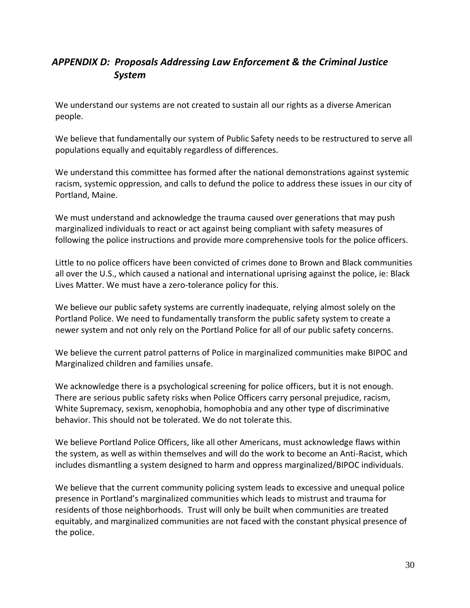## <span id="page-30-0"></span>*APPENDIX D: Proposals Addressing Law Enforcement & the Criminal Justice System*

We understand our systems are not created to sustain all our rights as a diverse American people.

We believe that fundamentally our system of Public Safety needs to be restructured to serve all populations equally and equitably regardless of differences.

We understand this committee has formed after the national demonstrations against systemic racism, systemic oppression, and calls to defund the police to address these issues in our city of Portland, Maine.

We must understand and acknowledge the trauma caused over generations that may push marginalized individuals to react or act against being compliant with safety measures of following the police instructions and provide more comprehensive tools for the police officers.

Little to no police officers have been convicted of crimes done to Brown and Black communities all over the U.S., which caused a national and international uprising against the police, ie: Black Lives Matter. We must have a zero-tolerance policy for this.

We believe our public safety systems are currently inadequate, relying almost solely on the Portland Police. We need to fundamentally transform the public safety system to create a newer system and not only rely on the Portland Police for all of our public safety concerns.

We believe the current patrol patterns of Police in marginalized communities make BIPOC and Marginalized children and families unsafe.

We acknowledge there is a psychological screening for police officers, but it is not enough. There are serious public safety risks when Police Officers carry personal prejudice, racism, White Supremacy, sexism, xenophobia, homophobia and any other type of discriminative behavior. This should not be tolerated. We do not tolerate this.

We believe Portland Police Officers, like all other Americans, must acknowledge flaws within the system, as well as within themselves and will do the work to become an Anti-Racist, which includes dismantling a system designed to harm and oppress marginalized/BIPOC individuals.

We believe that the current community policing system leads to excessive and unequal police presence in Portland's marginalized communities which leads to mistrust and trauma for residents of those neighborhoods. Trust will only be built when communities are treated equitably, and marginalized communities are not faced with the constant physical presence of the police.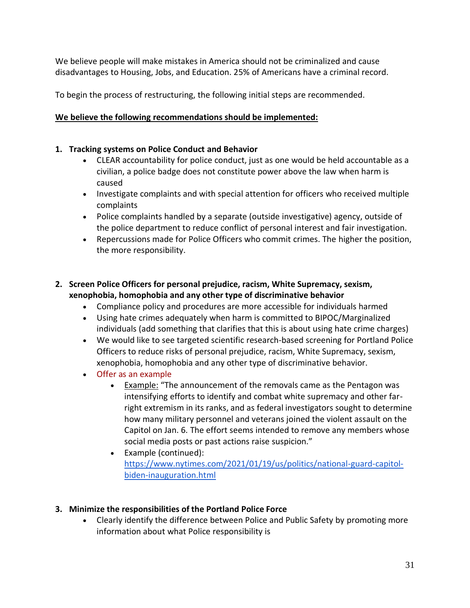We believe people will make mistakes in America should not be criminalized and cause disadvantages to Housing, Jobs, and Education. 25% of Americans have a criminal record.

To begin the process of restructuring, the following initial steps are recommended.

#### **We believe the following recommendations should be implemented:**

#### **1. Tracking systems on Police Conduct and Behavior**

- CLEAR accountability for police conduct, just as one would be held accountable as a civilian, a police badge does not constitute power above the law when harm is caused
- Investigate complaints and with special attention for officers who received multiple complaints
- Police complaints handled by a separate (outside investigative) agency, outside of the police department to reduce conflict of personal interest and fair investigation.
- Repercussions made for Police Officers who commit crimes. The higher the position, the more responsibility.

#### **2. Screen Police Officers for personal prejudice, racism, White Supremacy, sexism, xenophobia, homophobia and any other type of discriminative behavior**

- Compliance policy and procedures are more accessible for individuals harmed
- Using hate crimes adequately when harm is committed to BIPOC/Marginalized individuals (add something that clarifies that this is about using hate crime charges)
- We would like to see targeted scientific research-based screening for Portland Police Officers to reduce risks of personal prejudice, racism, White Supremacy, sexism, xenophobia, homophobia and any other type of discriminative behavior.
- Offer as an example
	- Example: "The announcement of the removals came as the Pentagon was intensifying efforts to identify and combat white supremacy and other farright extremism in its ranks, and as federal investigators sought to determine how many military personnel and veterans joined the violent assault on the Capitol on Jan. 6. The effort seems intended to remove any members whose social media posts or past actions raise suspicion."
	- Example (continued): [https://www.nytimes.com/2021/01/19/us/politics/national-guard-capitol](https://www.nytimes.com/2021/01/19/us/politics/national-guard-capitol-biden-inauguration.html)[biden-inauguration.html](https://www.nytimes.com/2021/01/19/us/politics/national-guard-capitol-biden-inauguration.html)

#### **3. Minimize the responsibilities of the Portland Police Force**

• Clearly identify the difference between Police and Public Safety by promoting more information about what Police responsibility is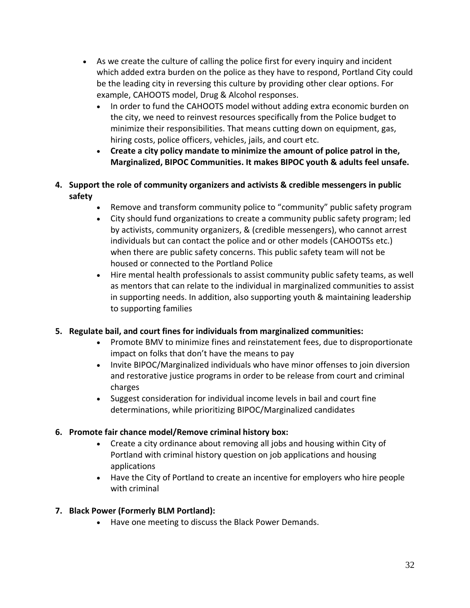- As we create the culture of calling the police first for every inquiry and incident which added extra burden on the police as they have to respond, Portland City could be the leading city in reversing this culture by providing other clear options. For example, CAHOOTS model, Drug & Alcohol responses.
	- In order to fund the CAHOOTS model without adding extra economic burden on the city, we need to reinvest resources specifically from the Police budget to minimize their responsibilities. That means cutting down on equipment, gas, hiring costs, police officers, vehicles, jails, and court etc.
	- **Create a city policy mandate to minimize the amount of police patrol in the, Marginalized, BIPOC Communities. It makes BIPOC youth & adults feel unsafe.**
- **4. Support the role of community organizers and activists & credible messengers in public safety**
	- Remove and transform community police to "community" public safety program
	- City should fund organizations to create a community public safety program; led by activists, community organizers, & (credible messengers), who cannot arrest individuals but can contact the police and or other models (CAHOOTSs etc.) when there are public safety concerns. This public safety team will not be housed or connected to the Portland Police
	- Hire mental health professionals to assist community public safety teams, as well as mentors that can relate to the individual in marginalized communities to assist in supporting needs. In addition, also supporting youth & maintaining leadership to supporting families

#### **5. Regulate bail, and court fines for individuals from marginalized communities:**

- Promote BMV to minimize fines and reinstatement fees, due to disproportionate impact on folks that don't have the means to pay
- Invite BIPOC/Marginalized individuals who have minor offenses to join diversion and restorative justice programs in order to be release from court and criminal charges
- Suggest consideration for individual income levels in bail and court fine determinations, while prioritizing BIPOC/Marginalized candidates

#### **6. Promote fair chance model/Remove criminal history box:**

- Create a city ordinance about removing all jobs and housing within City of Portland with criminal history question on job applications and housing applications
- Have the City of Portland to create an incentive for employers who hire people with criminal

#### **7. Black Power (Formerly BLM Portland):**

• Have one meeting to discuss the Black Power Demands.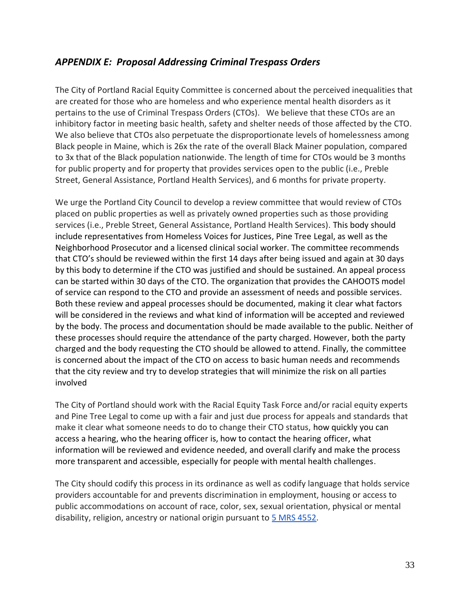## <span id="page-33-0"></span>*APPENDIX E: Proposal Addressing Criminal Trespass Orders*

The City of Portland Racial Equity Committee is concerned about the perceived inequalities that are created for those who are homeless and who experience mental health disorders as it pertains to the use of Criminal Trespass Orders (CTOs). We believe that these CTOs are an inhibitory factor in meeting basic health, safety and shelter needs of those affected by the CTO. We also believe that CTOs also perpetuate the disproportionate levels of homelessness among Black people in Maine, which is 26x the rate of the overall Black Mainer population, compared to 3x that of the Black population nationwide. The length of time for CTOs would be 3 months for public property and for property that provides services open to the public (i.e., Preble Street, General Assistance, Portland Health Services), and 6 months for private property.

We urge the Portland City Council to develop a review committee that would review of CTOs placed on public properties as well as privately owned properties such as those providing services (i.e., Preble Street, General Assistance, Portland Health Services). This body should include representatives from Homeless Voices for Justices, Pine Tree Legal, as well as the Neighborhood Prosecutor and a licensed clinical social worker. The committee recommends that CTO's should be reviewed within the first 14 days after being issued and again at 30 days by this body to determine if the CTO was justified and should be sustained. An appeal process can be started within 30 days of the CTO. The organization that provides the CAHOOTS model of service can respond to the CTO and provide an assessment of needs and possible services. Both these review and appeal processes should be documented, making it clear what factors will be considered in the reviews and what kind of information will be accepted and reviewed by the body. The process and documentation should be made available to the public. Neither of these processes should require the attendance of the party charged. However, both the party charged and the body requesting the CTO should be allowed to attend. Finally, the committee is concerned about the impact of the CTO on access to basic human needs and recommends that the city review and try to develop strategies that will minimize the risk on all parties involved

The City of Portland should work with the Racial Equity Task Force and/or racial equity experts and Pine Tree Legal to come up with a fair and just due process for appeals and standards that make it clear what someone needs to do to change their CTO status, how quickly you can access a hearing, who the hearing officer is, how to contact the hearing officer, what information will be reviewed and evidence needed, and overall clarify and make the process more transparent and accessible, especially for people with mental health challenges.

The City should codify this process in its ordinance as well as codify language that holds service providers accountable for and prevents discrimination in employment, housing or access to public accommodations on account of race, color, sex, sexual orientation, physical or mental disability, religion, ancestry or national origin pursuant to [5 MRS 4552.](https://www.mainelegislature.org/legis/statutes/5/title5sec4552.html)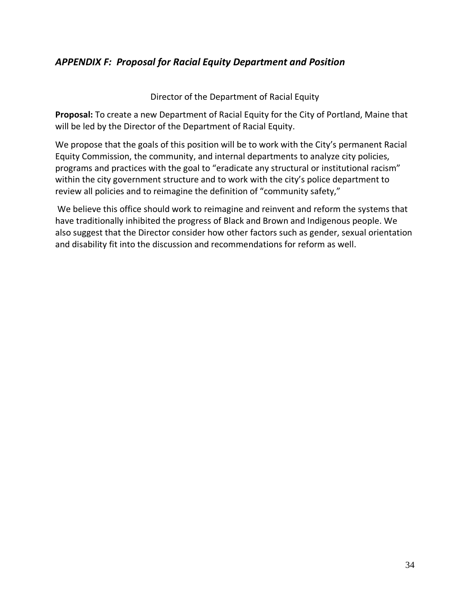## <span id="page-34-0"></span>*APPENDIX F: Proposal for Racial Equity Department and Position*

Director of the Department of Racial Equity

**Proposal:** To create a new Department of Racial Equity for the City of Portland, Maine that will be led by the Director of the Department of Racial Equity.

We propose that the goals of this position will be to work with the City's permanent Racial Equity Commission, the community, and internal departments to analyze city policies, programs and practices with the goal to "eradicate any structural or institutional racism" within the city government structure and to work with the city's police department to review all policies and to reimagine the definition of "community safety,"

We believe this office should work to reimagine and reinvent and reform the systems that have traditionally inhibited the progress of Black and Brown and Indigenous people. We also suggest that the Director consider how other factors such as gender, sexual orientation and disability fit into the discussion and recommendations for reform as well.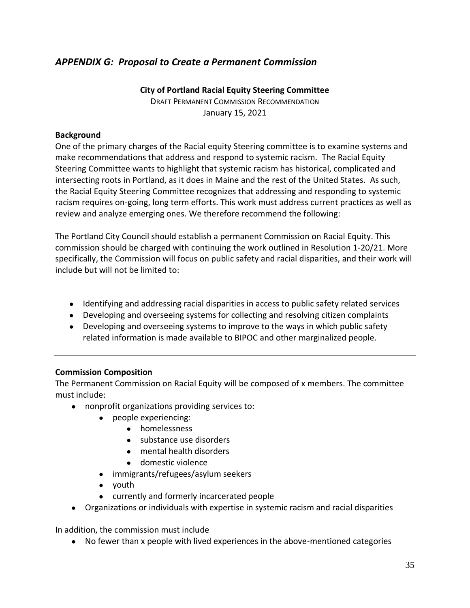## <span id="page-35-0"></span>*APPENDIX G: Proposal to Create a Permanent Commission*

**City of Portland Racial Equity Steering Committee** DRAFT PERMANENT COMMISSION RECOMMENDATION January 15, 2021

#### **Background**

One of the primary charges of the Racial equity Steering committee is to examine systems and make recommendations that address and respond to systemic racism. The Racial Equity Steering Committee wants to highlight that systemic racism has historical, complicated and intersecting roots in Portland, as it does in Maine and the rest of the United States. As such, the Racial Equity Steering Committee recognizes that addressing and responding to systemic racism requires on-going, long term efforts. This work must address current practices as well as review and analyze emerging ones. We therefore recommend the following:

The Portland City Council should establish a permanent Commission on Racial Equity. This commission should be charged with continuing the work outlined in Resolution 1-20/21. More specifically, the Commission will focus on public safety and racial disparities, and their work will include but will not be limited to:

- Identifying and addressing racial disparities in access to public safety related services
- Developing and overseeing systems for collecting and resolving citizen complaints
- Developing and overseeing systems to improve to the ways in which public safety related information is made available to BIPOC and other marginalized people.

#### **Commission Composition**

The Permanent Commission on Racial Equity will be composed of x members. The committee must include:

- nonprofit organizations providing services to:
	- people experiencing:
		- homelessness
		- substance use disorders
		- mental health disorders
		- domestic violence
	- immigrants/refugees/asylum seekers
	- youth
	- currently and formerly incarcerated people
- Organizations or individuals with expertise in systemic racism and racial disparities

In addition, the commission must include

● No fewer than x people with lived experiences in the above-mentioned categories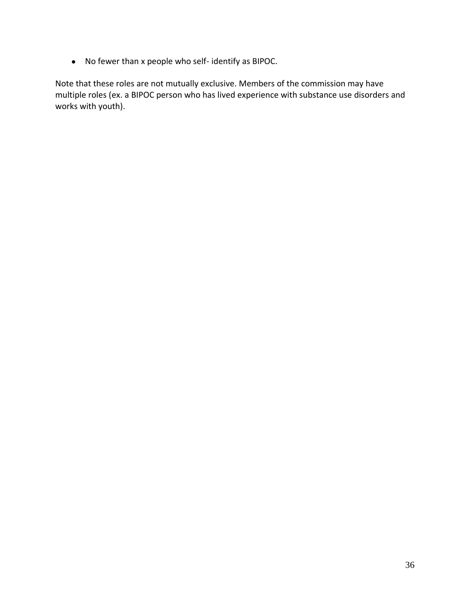● No fewer than x people who self- identify as BIPOC.

Note that these roles are not mutually exclusive. Members of the commission may have multiple roles (ex. a BIPOC person who has lived experience with substance use disorders and works with youth).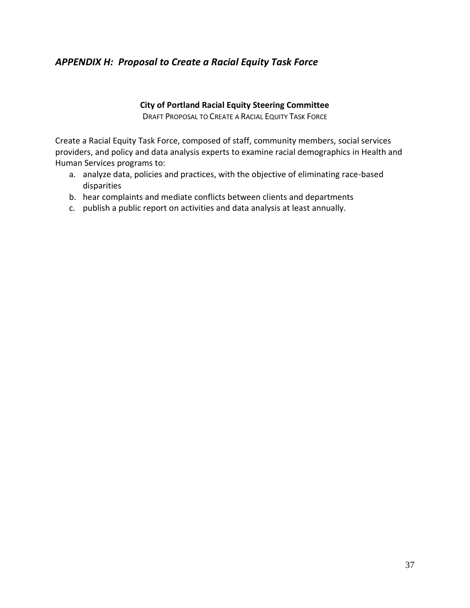## <span id="page-37-0"></span>*APPENDIX H: Proposal to Create a Racial Equity Task Force*

#### **City of Portland Racial Equity Steering Committee**

DRAFT PROPOSAL TO CREATE A RACIAL EQUITY TASK FORCE

Create a Racial Equity Task Force, composed of staff, community members, social services providers, and policy and data analysis experts to examine racial demographics in Health and Human Services programs to:

- a. analyze data, policies and practices, with the objective of eliminating race-based disparities
- b. hear complaints and mediate conflicts between clients and departments
- c. publish a public report on activities and data analysis at least annually.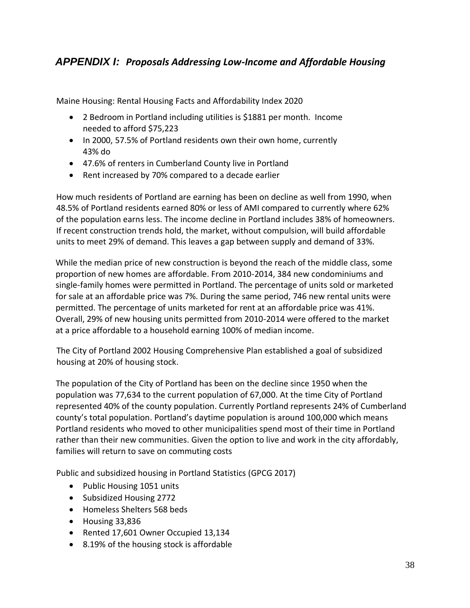## <span id="page-38-0"></span>*APPENDIX I: Proposals Addressing Low-Income and Affordable Housing*

Maine Housing: Rental Housing Facts and Affordability Index 2020

- 2 Bedroom in Portland including utilities is \$1881 per month. Income needed to afford \$75,223
- In 2000, 57.5% of Portland residents own their own home, currently 43% do
- 47.6% of renters in Cumberland County live in Portland
- Rent increased by 70% compared to a decade earlier

How much residents of Portland are earning has been on decline as well from 1990, when 48.5% of Portland residents earned 80% or less of AMI compared to currently where 62% of the population earns less. The income decline in Portland includes 38% of homeowners. If recent construction trends hold, the market, without compulsion, will build affordable units to meet 29% of demand. This leaves a gap between supply and demand of 33%.

While the median price of new construction is beyond the reach of the middle class, some proportion of new homes are affordable. From 2010-2014, 384 new condominiums and single-family homes were permitted in Portland. The percentage of units sold or marketed for sale at an affordable price was 7%. During the same period, 746 new rental units were permitted. The percentage of units marketed for rent at an affordable price was 41%. Overall, 29% of new housing units permitted from 2010-2014 were offered to the market at a price affordable to a household earning 100% of median income.

The City of Portland 2002 Housing Comprehensive Plan established a goal of subsidized housing at 20% of housing stock.

The population of the City of Portland has been on the decline since 1950 when the population was 77,634 to the current population of 67,000. At the time City of Portland represented 40% of the county population. Currently Portland represents 24% of Cumberland county's total population. Portland's daytime population is around 100,000 which means Portland residents who moved to other municipalities spend most of their time in Portland rather than their new communities. Given the option to live and work in the city affordably, families will return to save on commuting costs

Public and subsidized housing in Portland Statistics (GPCG 2017)

- Public Housing 1051 units
- Subsidized Housing 2772
- Homeless Shelters 568 beds
- Housing 33,836
- Rented 17,601 Owner Occupied 13,134
- 8.19% of the housing stock is affordable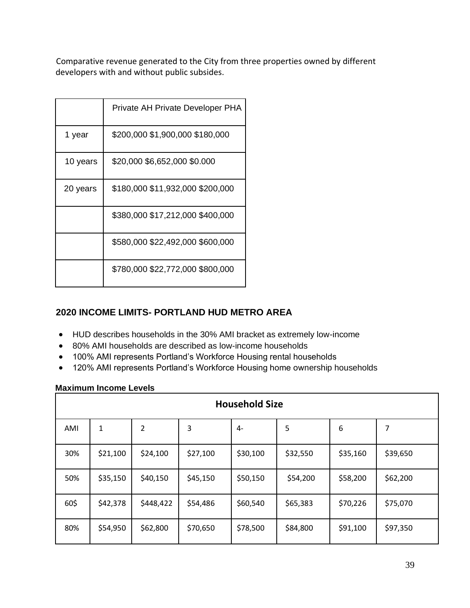Comparative revenue generated to the City from three properties owned by different developers with and without public subsides.

|          | Private AH Private Developer PHA |
|----------|----------------------------------|
| 1 year   | \$200,000 \$1,900,000 \$180,000  |
| 10 years | \$20,000 \$6,652,000 \$0.000     |
| 20 years | \$180,000 \$11,932,000 \$200,000 |
|          | \$380,000 \$17,212,000 \$400,000 |
|          | \$580,000 \$22,492,000 \$600,000 |
|          | \$780,000 \$22,772,000 \$800,000 |

## **2020 INCOME LIMITS- PORTLAND HUD METRO AREA**

- HUD describes households in the 30% AMI bracket as extremely low-income
- 80% AMI households are described as low-income households
- 100% AMI represents Portland's Workforce Housing rental households
- 120% AMI represents Portland's Workforce Housing home ownership households

#### **Maximum Income Levels**

| <b>Household Size</b> |          |           |          |          |          |          |          |
|-----------------------|----------|-----------|----------|----------|----------|----------|----------|
| AMI                   | 1        | 2         | 3        | $4-$     | 5        | 6        | 7        |
| 30%                   | \$21,100 | \$24,100  | \$27,100 | \$30,100 | \$32,550 | \$35,160 | \$39,650 |
| 50%                   | \$35,150 | \$40,150  | \$45,150 | \$50,150 | \$54,200 | \$58,200 | \$62,200 |
| 60\$                  | \$42,378 | \$448,422 | \$54,486 | \$60,540 | \$65,383 | \$70,226 | \$75,070 |
| 80%                   | \$54,950 | \$62,800  | \$70,650 | \$78,500 | \$84,800 | \$91,100 | \$97,350 |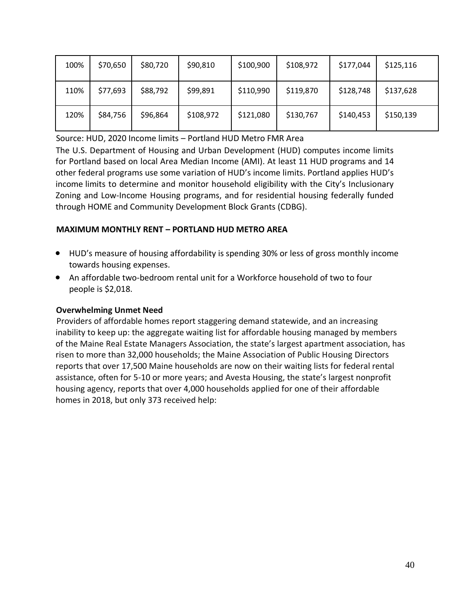| 100% | \$70,650 | \$80,720 | \$90,810  | \$100,900 | \$108,972 | \$177,044 | \$125,116 |
|------|----------|----------|-----------|-----------|-----------|-----------|-----------|
| 110% | \$77,693 | \$88,792 | \$99,891  | \$110,990 | \$119,870 | \$128,748 | \$137,628 |
| 120% | \$84,756 | \$96,864 | \$108,972 | \$121,080 | \$130,767 | \$140,453 | \$150,139 |

Source: HUD, 2020 Income limits – Portland HUD Metro FMR Area

The U.S. Department of Housing and Urban Development (HUD) computes income limits for Portland based on local Area Median Income (AMI). At least 11 HUD programs and 14 other federal programs use some variation of HUD's income limits. Portland applies HUD's income limits to determine and monitor household eligibility with the City's Inclusionary Zoning and Low-Income Housing programs, and for residential housing federally funded through HOME and Community Development Block Grants (CDBG).

#### **MAXIMUM MONTHLY RENT – PORTLAND HUD METRO AREA**

- HUD's measure of housing affordability is spending 30% or less of gross monthly income towards housing expenses.
- An affordable two-bedroom rental unit for a Workforce household of two to four people is \$2,018.

#### **Overwhelming Unmet Need**

Providers of affordable homes report staggering demand statewide, and an increasing inability to keep up: the aggregate waiting list for affordable housing managed by members of the Maine Real Estate Managers Association, the state's largest apartment association, has risen to more than 32,000 households; the Maine Association of Public Housing Directors reports that over 17,500 Maine households are now on their waiting lists for federal rental assistance, often for 5-10 or more years; and Avesta Housing, the state's largest nonprofit housing agency, reports that over 4,000 households applied for one of their affordable homes in 2018, but only 373 received help: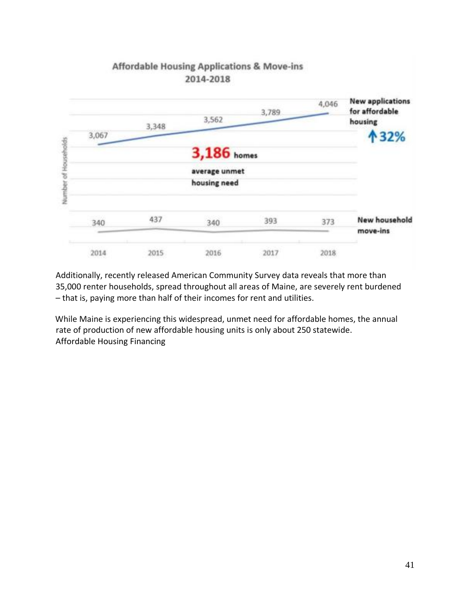

Additionally, recently released American Community Survey data reveals that more than 35,000 renter households, spread throughout all areas of Maine, are severely rent burdened – that is, paying more than half of their incomes for rent and utilities.

While Maine is experiencing this widespread, unmet need for affordable homes, the annual rate of production of new affordable housing units is only about 250 statewide. Affordable Housing Financing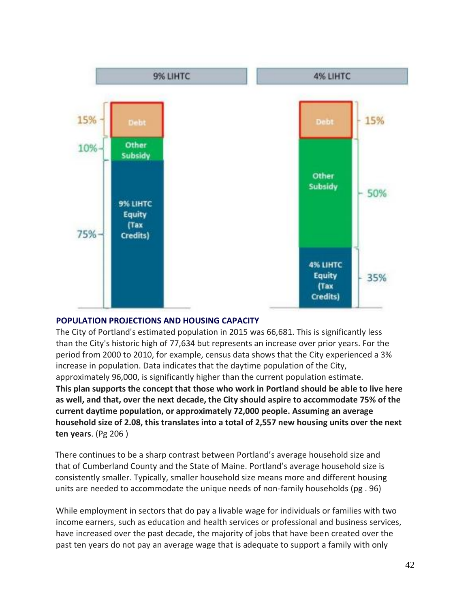

#### **POPULATION PROJECTIONS AND HOUSING CAPACITY**

The City of Portland's estimated population in 2015 was 66,681. This is significantly less than the City's historic high of 77,634 but represents an increase over prior years. For the period from 2000 to 2010, for example, census data shows that the City experienced a 3% increase in population. Data indicates that the daytime population of the City, approximately 96,000, is significantly higher than the current population estimate. **This plan supports the concept that those who work in Portland should be able to live here as well, and that, over the next decade, the City should aspire to accommodate 75% of the current daytime population, or approximately 72,000 people. Assuming an average household size of 2.08, this translates into a total of 2,557 new housing units over the next ten years**. (Pg 206 )

There continues to be a sharp contrast between Portland's average household size and that of Cumberland County and the State of Maine. Portland's average household size is consistently smaller. Typically, smaller household size means more and different housing units are needed to accommodate the unique needs of non-family households (pg . 96)

While employment in sectors that do pay a livable wage for individuals or families with two income earners, such as education and health services or professional and business services, have increased over the past decade, the majority of jobs that have been created over the past ten years do not pay an average wage that is adequate to support a family with only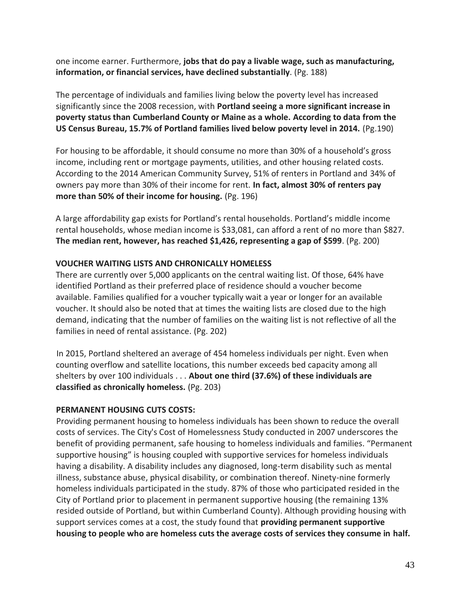one income earner. Furthermore, **jobs that do pay a livable wage, such as manufacturing, information, or financial services, have declined substantially**. (Pg. 188)

The percentage of individuals and families living below the poverty level has increased significantly since the 2008 recession, with **Portland seeing a more significant increase in poverty status than Cumberland County or Maine as a whole. According to data from the US Census Bureau, 15.7% of Portland families lived below poverty level in 2014.** (Pg.190)

For housing to be affordable, it should consume no more than 30% of a household's gross income, including rent or mortgage payments, utilities, and other housing related costs. According to the 2014 American Community Survey, 51% of renters in Portland and 34% of owners pay more than 30% of their income for rent. **In fact, almost 30% of renters pay more than 50% of their income for housing.** (Pg. 196)

A large affordability gap exists for Portland's rental households. Portland's middle income rental households, whose median income is \$33,081, can afford a rent of no more than \$827. **The median rent, however, has reached \$1,426, representing a gap of \$599**. (Pg. 200)

#### **VOUCHER WAITING LISTS AND CHRONICALLY HOMELESS**

There are currently over 5,000 applicants on the central waiting list. Of those, 64% have identified Portland as their preferred place of residence should a voucher become available. Families qualified for a voucher typically wait a year or longer for an available voucher. It should also be noted that at times the waiting lists are closed due to the high demand, indicating that the number of families on the waiting list is not reflective of all the families in need of rental assistance. (Pg. 202)

In 2015, Portland sheltered an average of 454 homeless individuals per night. Even when counting overflow and satellite locations, this number exceeds bed capacity among all shelters by over 100 individuals . . . **About one third (37.6%) of these individuals are classified as chronically homeless.** (Pg. 203)

#### **PERMANENT HOUSING CUTS COSTS:**

Providing permanent housing to homeless individuals has been shown to reduce the overall costs of services. The City's Cost of Homelessness Study conducted in 2007 underscores the benefit of providing permanent, safe housing to homeless individuals and families. "Permanent supportive housing" is housing coupled with supportive services for homeless individuals having a disability. A disability includes any diagnosed, long-term disability such as mental illness, substance abuse, physical disability, or combination thereof. Ninety-nine formerly homeless individuals participated in the study. 87% of those who participated resided in the City of Portland prior to placement in permanent supportive housing (the remaining 13% resided outside of Portland, but within Cumberland County). Although providing housing with support services comes at a cost, the study found that **providing permanent supportive housing to people who are homeless cuts the average costs of services they consume in half.**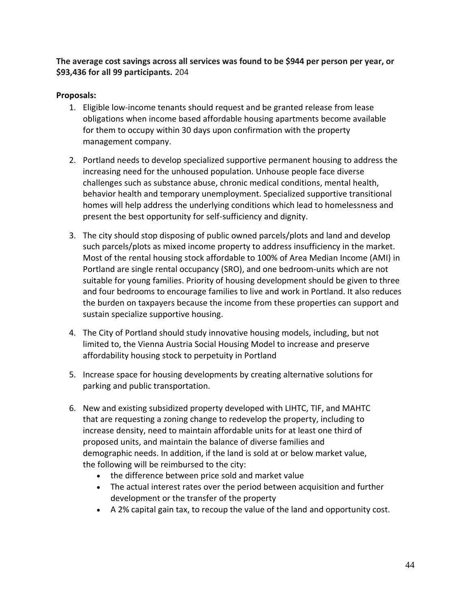**The average cost savings across all services was found to be \$944 per person per year, or \$93,436 for all 99 participants.** 204

#### **Proposals:**

- 1. Eligible low-income tenants should request and be granted release from lease obligations when income based affordable housing apartments become available for them to occupy within 30 days upon confirmation with the property management company.
- 2. Portland needs to develop specialized supportive permanent housing to address the increasing need for the unhoused population. Unhouse people face diverse challenges such as substance abuse, chronic medical conditions, mental health, behavior health and temporary unemployment. Specialized supportive transitional homes will help address the underlying conditions which lead to homelessness and present the best opportunity for self-sufficiency and dignity.
- 3. The city should stop disposing of public owned parcels/plots and land and develop such parcels/plots as mixed income property to address insufficiency in the market. Most of the rental housing stock affordable to 100% of Area Median Income (AMI) in Portland are single rental occupancy (SRO), and one bedroom-units which are not suitable for young families. Priority of housing development should be given to three and four bedrooms to encourage families to live and work in Portland. It also reduces the burden on taxpayers because the income from these properties can support and sustain specialize supportive housing.
- 4. The City of Portland should study innovative housing models, including, but not limited to, the Vienna Austria Social Housing Model to increase and preserve affordability housing stock to perpetuity in Portland
- 5. Increase space for housing developments by creating alternative solutions for parking and public transportation.
- 6. New and existing subsidized property developed with LIHTC, TIF, and MAHTC that are requesting a zoning change to redevelop the property, including to increase density, need to maintain affordable units for at least one third of proposed units, and maintain the balance of diverse families and demographic needs. In addition, if the land is sold at or below market value, the following will be reimbursed to the city:
	- the difference between price sold and market value
	- The actual interest rates over the period between acquisition and further development or the transfer of the property
	- A 2% capital gain tax, to recoup the value of the land and opportunity cost.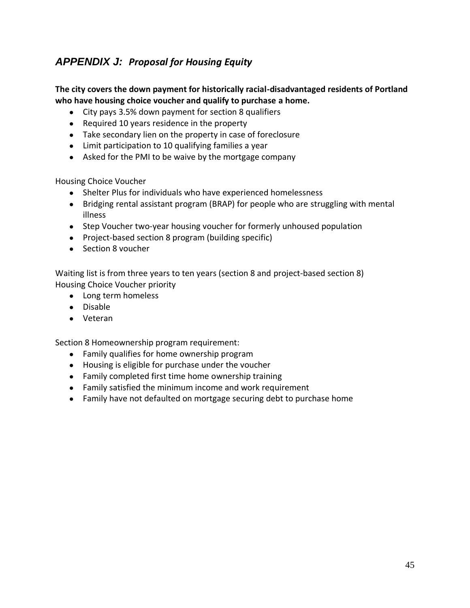## <span id="page-45-0"></span>*APPENDIX J: Proposal for Housing Equity*

#### **The city covers the down payment for historically racial-disadvantaged residents of Portland who have housing choice voucher and qualify to purchase a home.**

- City pays 3.5% down payment for section 8 qualifiers
- Required 10 years residence in the property
- Take secondary lien on the property in case of foreclosure
- Limit participation to 10 qualifying families a year
- Asked for the PMI to be waive by the mortgage company

Housing Choice Voucher

- Shelter Plus for individuals who have experienced homelessness
- Bridging rental assistant program (BRAP) for people who are struggling with mental illness
- Step Voucher two-year housing voucher for formerly unhoused population
- Project-based section 8 program (building specific)
- Section 8 voucher

Waiting list is from three years to ten years (section 8 and project-based section 8) Housing Choice Voucher priority

- Long term homeless
- Disable
- Veteran

Section 8 Homeownership program requirement:

- Family qualifies for home ownership program
- Housing is eligible for purchase under the voucher
- Family completed first time home ownership training
- Family satisfied the minimum income and work requirement
- Family have not defaulted on mortgage securing debt to purchase home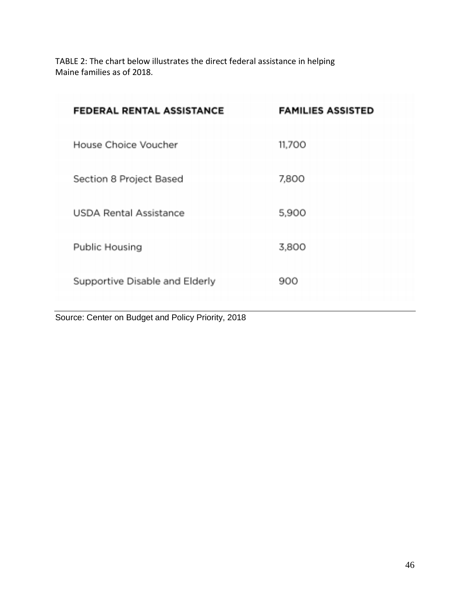TABLE 2: The chart below illustrates the direct federal assistance in helping Maine families as of 2018.

| <b>FEDERAL RENTAL ASSISTANCE</b> | <b>FAMILIES ASSISTED</b> |
|----------------------------------|--------------------------|
| House Choice Voucher             | 11,700                   |
| Section 8 Project Based          | 7,800                    |
| <b>USDA Rental Assistance</b>    | 5,900                    |
| Public Housing                   | 3,800                    |
| Supportive Disable and Elderly   | 900                      |

Source: Center on Budget and Policy Priority, 2018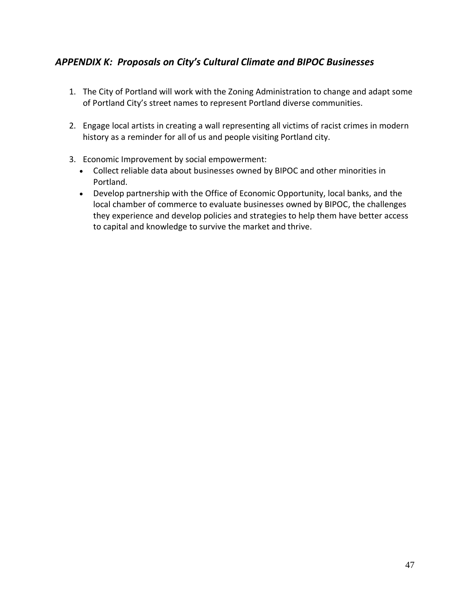## <span id="page-47-0"></span>*APPENDIX K: Proposals on City's Cultural Climate and BIPOC Businesses*

- 1. The City of Portland will work with the Zoning Administration to change and adapt some of Portland City's street names to represent Portland diverse communities.
- 2. Engage local artists in creating a wall representing all victims of racist crimes in modern history as a reminder for all of us and people visiting Portland city.
- 3. Economic Improvement by social empowerment:
	- Collect reliable data about businesses owned by BIPOC and other minorities in Portland.
	- Develop partnership with the Office of Economic Opportunity, local banks, and the local chamber of commerce to evaluate businesses owned by BIPOC, the challenges they experience and develop policies and strategies to help them have better access to capital and knowledge to survive the market and thrive.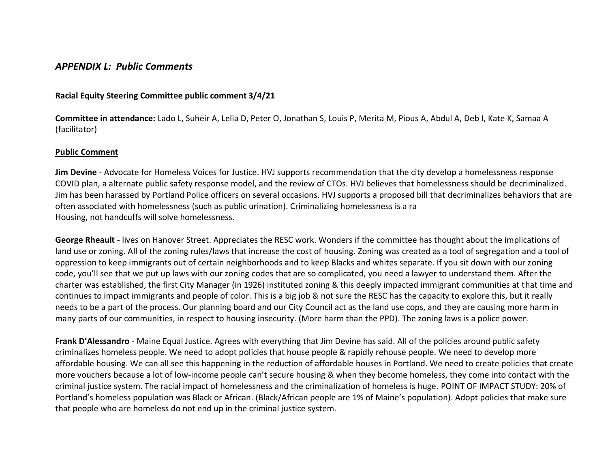#### *APPENDIX L: Public Comments*

#### **Racial Equity Steering Committee public comment 3/4/21**

**Committee in attendance:** Lado L, Suheir A, Lelia D, Peter O, Jonathan S, Louis P, Merita M, Pious A, Abdul A, Deb I, Kate K, Samaa A (facilitator)

#### **Public Comment**

<span id="page-48-0"></span>**Jim Devine** - Advocate for Homeless Voices for Justice. HVJ supports recommendation that the city develop a homelessness response COVID plan, a alternate public safety response model, and the review of CTOs. HVJ believes that homelessness should be decriminalized. Jim has been harassed by Portland Police officers on several occasions. HVJ supports a proposed bill that decriminalizes behaviors that are often associated with homelessness (such as public urination). Criminalizing homelessness is a ra Housing, not handcuffs will solve homelessness.

**George Rheault** - lives on Hanover Street. Appreciates the RESC work. Wonders if the committee has thought about the implications of land use or zoning. All of the zoning rules/laws that increase the cost of housing. Zoning was created as a tool of segregation and a tool of oppression to keep immigrants out of certain neighborhoods and to keep Blacks and whites separate. If you sit down with our zoning code, you'll see that we put up laws with our zoning codes that are so complicated, you need a lawyer to understand them. After the charter was established, the first City Manager (in 1926) instituted zoning & this deeply impacted immigrant communities at that time and continues to impact immigrants and people of color. This is a big job & not sure the RESC has the capacity to explore this, but it really needs to be a part of the process. Our planning board and our City Council act as the land use cops, and they are causing more harm in many parts of our communities, in respect to housing insecurity. (More harm than the PPD). The zoning laws is a police power.

**Frank D'Alessandro** - Maine Equal Justice. Agrees with everything that Jim Devine has said. All of the policies around public safety criminalizes homeless people. We need to adopt policies that house people & rapidly rehouse people. We need to develop more affordable housing. We can all see this happening in the reduction of affordable houses in Portland. We need to create policies that create more vouchers because a lot of low-income people can't secure housing & when they become homeless, they come into contact with the criminal justice system. The racial impact of homelessness and the criminalization of homeless is huge. POINT OF IMPACT STUDY: 20% of Portland's homeless population was Black or African. (Black/African people are 1% of Maine's population). Adopt policies that make sure that people who are homeless do not end up in the criminal justice system.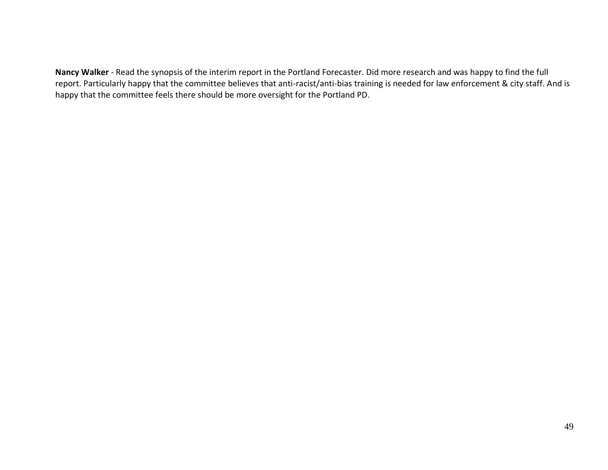**Nancy Walker** - Read the synopsis of the interim report in the Portland Forecaster. Did more research and was happy to find the full report. Particularly happy that the committee believes that anti-racist/anti-bias training is needed for law enforcement & city staff. And is happy that the committee feels there should be more oversight for the Portland PD.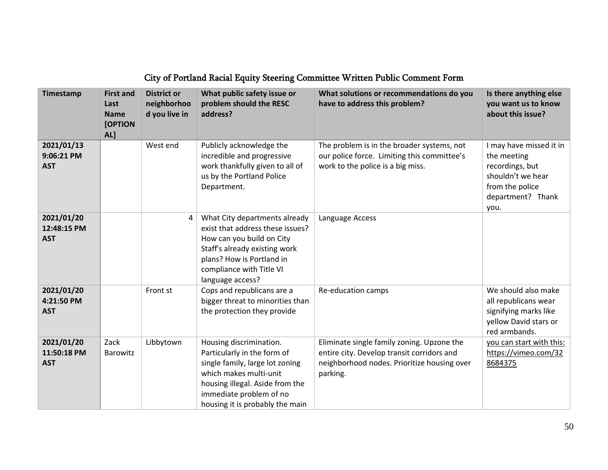| Timestamp                               | <b>First and</b><br>Last<br><b>Name</b><br>[OPTION<br>AL] | <b>District or</b><br>neighborhoo<br>d you live in | What public safety issue or<br>problem should the RESC<br>address?                                                                                                                                                   | What solutions or recommendations do you<br>have to address this problem?                                                                           | Is there anything else<br>you want us to know<br>about this issue?                                                             |
|-----------------------------------------|-----------------------------------------------------------|----------------------------------------------------|----------------------------------------------------------------------------------------------------------------------------------------------------------------------------------------------------------------------|-----------------------------------------------------------------------------------------------------------------------------------------------------|--------------------------------------------------------------------------------------------------------------------------------|
| 2021/01/13<br>9:06:21 PM<br><b>AST</b>  |                                                           | West end                                           | Publicly acknowledge the<br>incredible and progressive<br>work thankfully given to all of<br>us by the Portland Police<br>Department.                                                                                | The problem is in the broader systems, not<br>our police force. Limiting this committee's<br>work to the police is a big miss.                      | I may have missed it in<br>the meeting<br>recordings, but<br>shouldn't we hear<br>from the police<br>department? Thank<br>you. |
| 2021/01/20<br>12:48:15 PM<br><b>AST</b> |                                                           | 4                                                  | What City departments already<br>exist that address these issues?<br>How can you build on City<br>Staff's already existing work<br>plans? How is Portland in<br>compliance with Title VI<br>language access?         | Language Access                                                                                                                                     |                                                                                                                                |
| 2021/01/20<br>4:21:50 PM<br><b>AST</b>  |                                                           | Front st                                           | Cops and republicans are a<br>bigger threat to minorities than<br>the protection they provide                                                                                                                        | Re-education camps                                                                                                                                  | We should also make<br>all republicans wear<br>signifying marks like<br>yellow David stars or<br>red armbands.                 |
| 2021/01/20<br>11:50:18 PM<br><b>AST</b> | Zack<br>Barowitz                                          | Libbytown                                          | Housing discrimination.<br>Particularly in the form of<br>single family, large lot zoning<br>which makes multi-unit<br>housing illegal. Aside from the<br>immediate problem of no<br>housing it is probably the main | Eliminate single family zoning. Upzone the<br>entire city. Develop transit corridors and<br>neighborhood nodes. Prioritize housing over<br>parking. | you can start with this:<br>https://vimeo.com/32<br>8684375                                                                    |

## City of Portland Racial Equity Steering Committee Written Public Comment Form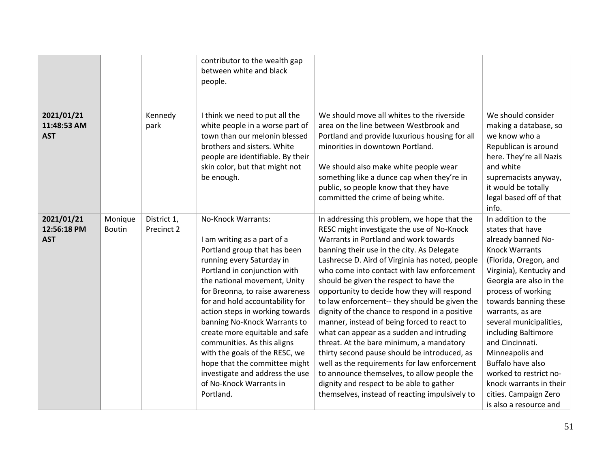|                                         |                          |                           | contributor to the wealth gap<br>between white and black<br>people.                                                                                                                                                                                                                                                                                                                                                                                                                                                                    |                                                                                                                                                                                                                                                                                                                                                                                                                                                                                                                                                                                                                                                                                                                                                                                                                                                                      |                                                                                                                                                                                                                                                                                                                                                                                                                                                              |
|-----------------------------------------|--------------------------|---------------------------|----------------------------------------------------------------------------------------------------------------------------------------------------------------------------------------------------------------------------------------------------------------------------------------------------------------------------------------------------------------------------------------------------------------------------------------------------------------------------------------------------------------------------------------|----------------------------------------------------------------------------------------------------------------------------------------------------------------------------------------------------------------------------------------------------------------------------------------------------------------------------------------------------------------------------------------------------------------------------------------------------------------------------------------------------------------------------------------------------------------------------------------------------------------------------------------------------------------------------------------------------------------------------------------------------------------------------------------------------------------------------------------------------------------------|--------------------------------------------------------------------------------------------------------------------------------------------------------------------------------------------------------------------------------------------------------------------------------------------------------------------------------------------------------------------------------------------------------------------------------------------------------------|
| 2021/01/21<br>11:48:53 AM<br><b>AST</b> |                          | Kennedy<br>park           | I think we need to put all the<br>white people in a worse part of<br>town than our melonin blessed<br>brothers and sisters. White<br>people are identifiable. By their<br>skin color, but that might not<br>be enough.                                                                                                                                                                                                                                                                                                                 | We should move all whites to the riverside<br>area on the line between Westbrook and<br>Portland and provide luxurious housing for all<br>minorities in downtown Portland.<br>We should also make white people wear<br>something like a dunce cap when they're in<br>public, so people know that they have<br>committed the crime of being white.                                                                                                                                                                                                                                                                                                                                                                                                                                                                                                                    | We should consider<br>making a database, so<br>we know who a<br>Republican is around<br>here. They're all Nazis<br>and white<br>supremacists anyway,<br>it would be totally<br>legal based off of that<br>info.                                                                                                                                                                                                                                              |
| 2021/01/21<br>12:56:18 PM<br><b>AST</b> | Monique<br><b>Boutin</b> | District 1,<br>Precinct 2 | No-Knock Warrants:<br>I am writing as a part of a<br>Portland group that has been<br>running every Saturday in<br>Portland in conjunction with<br>the national movement, Unity<br>for Breonna, to raise awareness<br>for and hold accountability for<br>action steps in working towards<br>banning No-Knock Warrants to<br>create more equitable and safe<br>communities. As this aligns<br>with the goals of the RESC, we<br>hope that the committee might<br>investigate and address the use<br>of No-Knock Warrants in<br>Portland. | In addressing this problem, we hope that the<br>RESC might investigate the use of No-Knock<br>Warrants in Portland and work towards<br>banning their use in the city. As Delegate<br>Lashrecse D. Aird of Virginia has noted, people<br>who come into contact with law enforcement<br>should be given the respect to have the<br>opportunity to decide how they will respond<br>to law enforcement-- they should be given the<br>dignity of the chance to respond in a positive<br>manner, instead of being forced to react to<br>what can appear as a sudden and intruding<br>threat. At the bare minimum, a mandatory<br>thirty second pause should be introduced, as<br>well as the requirements for law enforcement<br>to announce themselves, to allow people the<br>dignity and respect to be able to gather<br>themselves, instead of reacting impulsively to | In addition to the<br>states that have<br>already banned No-<br><b>Knock Warrants</b><br>(Florida, Oregon, and<br>Virginia), Kentucky and<br>Georgia are also in the<br>process of working<br>towards banning these<br>warrants, as are<br>several municipalities,<br>including Baltimore<br>and Cincinnati.<br>Minneapolis and<br>Buffalo have also<br>worked to restrict no-<br>knock warrants in their<br>cities. Campaign Zero<br>is also a resource and |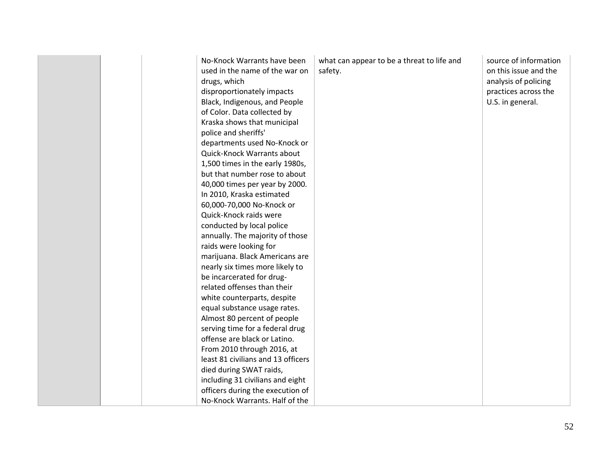|  | No-Knock Warrants have been<br>used in the name of the war on<br>drugs, which<br>disproportionately impacts<br>Black, Indigenous, and People<br>of Color. Data collected by<br>Kraska shows that municipal<br>police and sheriffs'<br>departments used No-Knock or<br>Quick-Knock Warrants about<br>1,500 times in the early 1980s,<br>but that number rose to about<br>40,000 times per year by 2000.<br>In 2010, Kraska estimated<br>60,000-70,000 No-Knock or<br>Quick-Knock raids were<br>conducted by local police<br>annually. The majority of those<br>raids were looking for<br>marijuana. Black Americans are<br>nearly six times more likely to<br>be incarcerated for drug-<br>related offenses than their<br>white counterparts, despite<br>equal substance usage rates.<br>Almost 80 percent of people<br>serving time for a federal drug<br>offense are black or Latino.<br>From 2010 through 2016, at<br>least 81 civilians and 13 officers<br>died during SWAT raids,<br>including 31 civilians and eight<br>officers during the execution of<br>No-Knock Warrants. Half of the | what can appear to be a threat to life and<br>safety. | source of information<br>on this issue and the<br>analysis of policing<br>practices across the<br>U.S. in general. |
|--|-------------------------------------------------------------------------------------------------------------------------------------------------------------------------------------------------------------------------------------------------------------------------------------------------------------------------------------------------------------------------------------------------------------------------------------------------------------------------------------------------------------------------------------------------------------------------------------------------------------------------------------------------------------------------------------------------------------------------------------------------------------------------------------------------------------------------------------------------------------------------------------------------------------------------------------------------------------------------------------------------------------------------------------------------------------------------------------------------|-------------------------------------------------------|--------------------------------------------------------------------------------------------------------------------|
|--|-------------------------------------------------------------------------------------------------------------------------------------------------------------------------------------------------------------------------------------------------------------------------------------------------------------------------------------------------------------------------------------------------------------------------------------------------------------------------------------------------------------------------------------------------------------------------------------------------------------------------------------------------------------------------------------------------------------------------------------------------------------------------------------------------------------------------------------------------------------------------------------------------------------------------------------------------------------------------------------------------------------------------------------------------------------------------------------------------|-------------------------------------------------------|--------------------------------------------------------------------------------------------------------------------|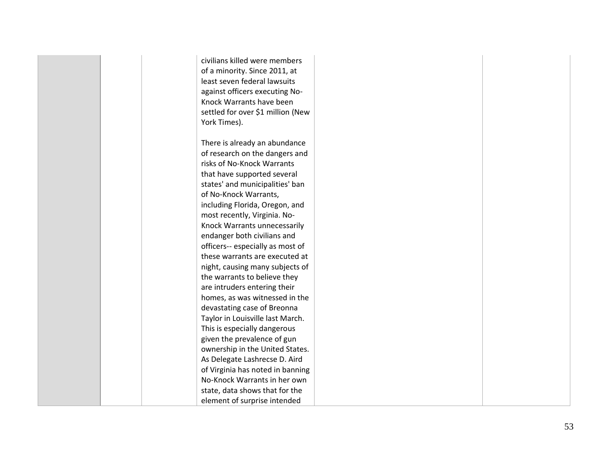civilians killed were members of a minority. Since 2011, at least seven federal lawsuits against officers executing No - Knock Warrants have been settled for over \$1 million (New York Times). There is already an abundance of research on the dangers and risks of No -Knock Warrants that have supported several states' and municipalities' ban of No -Knock Warrants, including Florida, Oregon, and most recently, Virginia. No - Knock Warrants unnecessarily endanger both civilians and officers-- especially as most of these warrants are executed at night, causing many subjects of the warrants to believe they are intruders entering their homes, as was witnessed in the devastating case of Breonna Taylor in Louisville last March. This is especially dangerous given the prevalence of gun ownership in the United States. As Delegate Lashrecse D. Aird of Virginia has noted in banning No -Knock Warrants in her own state, data shows that for the element of surprise intended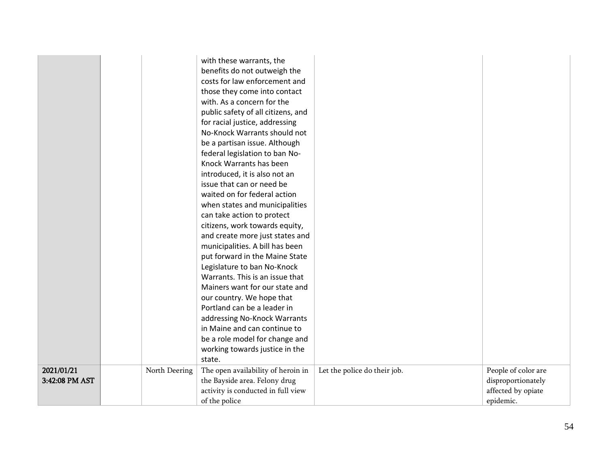|                              |               | with these warrants, the<br>benefits do not outweigh the            |                              |                                          |
|------------------------------|---------------|---------------------------------------------------------------------|------------------------------|------------------------------------------|
|                              |               | costs for law enforcement and                                       |                              |                                          |
|                              |               | those they come into contact                                        |                              |                                          |
|                              |               | with. As a concern for the                                          |                              |                                          |
|                              |               | public safety of all citizens, and                                  |                              |                                          |
|                              |               | for racial justice, addressing                                      |                              |                                          |
|                              |               | No-Knock Warrants should not                                        |                              |                                          |
|                              |               | be a partisan issue. Although                                       |                              |                                          |
|                              |               | federal legislation to ban No-                                      |                              |                                          |
|                              |               | Knock Warrants has been                                             |                              |                                          |
|                              |               | introduced, it is also not an                                       |                              |                                          |
|                              |               | issue that can or need be                                           |                              |                                          |
|                              |               | waited on for federal action                                        |                              |                                          |
|                              |               | when states and municipalities                                      |                              |                                          |
|                              |               | can take action to protect                                          |                              |                                          |
|                              |               | citizens, work towards equity,                                      |                              |                                          |
|                              |               | and create more just states and                                     |                              |                                          |
|                              |               | municipalities. A bill has been                                     |                              |                                          |
|                              |               | put forward in the Maine State                                      |                              |                                          |
|                              |               | Legislature to ban No-Knock                                         |                              |                                          |
|                              |               | Warrants. This is an issue that                                     |                              |                                          |
|                              |               | Mainers want for our state and                                      |                              |                                          |
|                              |               | our country. We hope that                                           |                              |                                          |
|                              |               | Portland can be a leader in                                         |                              |                                          |
|                              |               | addressing No-Knock Warrants                                        |                              |                                          |
|                              |               | in Maine and can continue to                                        |                              |                                          |
|                              |               | be a role model for change and                                      |                              |                                          |
|                              |               | working towards justice in the                                      |                              |                                          |
|                              |               | state.                                                              |                              |                                          |
| 2021/01/21<br>3:42:08 PM AST | North Deering | The open availability of heroin in                                  | Let the police do their job. | People of color are                      |
|                              |               | the Bayside area. Felony drug<br>activity is conducted in full view |                              | disproportionately<br>affected by opiate |
|                              |               | of the police                                                       |                              | epidemic.                                |
|                              |               |                                                                     |                              |                                          |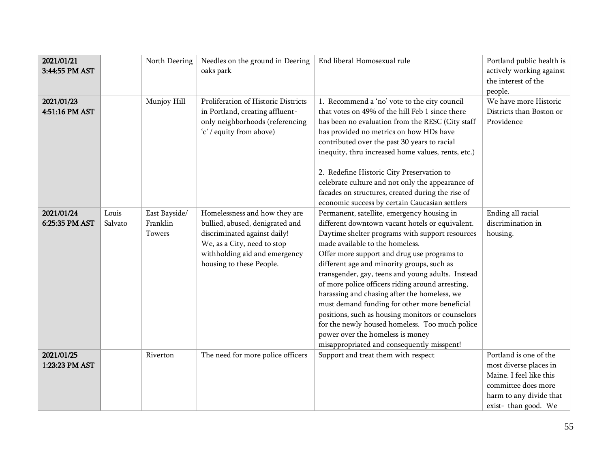| 2021/01/21<br>3:44:55 PM AST |                  | North Deering                       | Needles on the ground in Deering<br>oaks park                                                                                                                                                | End liberal Homosexual rule                                                                                                                                                                                                                                                                                                                                                                                                                                                                                                                                                                                                                                                         | Portland public health is<br>actively working against<br>the interest of the<br>people.                                                              |
|------------------------------|------------------|-------------------------------------|----------------------------------------------------------------------------------------------------------------------------------------------------------------------------------------------|-------------------------------------------------------------------------------------------------------------------------------------------------------------------------------------------------------------------------------------------------------------------------------------------------------------------------------------------------------------------------------------------------------------------------------------------------------------------------------------------------------------------------------------------------------------------------------------------------------------------------------------------------------------------------------------|------------------------------------------------------------------------------------------------------------------------------------------------------|
| 2021/01/23<br>4:51:16 PM AST |                  | Munjoy Hill                         | Proliferation of Historic Districts<br>in Portland, creating affluent-<br>only neighborhoods (referencing<br>'c' / equity from above)                                                        | 1. Recommend a 'no' vote to the city council<br>that votes on 49% of the hill Feb 1 since there<br>has been no evaluation from the RESC (City staff<br>has provided no metrics on how HDs have<br>contributed over the past 30 years to racial<br>inequity, thru increased home values, rents, etc.)<br>2. Redefine Historic City Preservation to<br>celebrate culture and not only the appearance of<br>facades on structures, created during the rise of<br>economic success by certain Caucasian settlers                                                                                                                                                                        | We have more Historic<br>Districts than Boston or<br>Providence                                                                                      |
| 2021/01/24<br>6:25:35 PM AST | Louis<br>Salvato | East Bayside/<br>Franklin<br>Towers | Homelessness and how they are<br>bullied, abused, denigrated and<br>discriminated against daily!<br>We, as a City, need to stop<br>withholding aid and emergency<br>housing to these People. | Permanent, satellite, emergency housing in<br>different downtown vacant hotels or equivalent.<br>Daytime shelter programs with support resources<br>made available to the homeless.<br>Offer more support and drug use programs to<br>different age and minority groups, such as<br>transgender, gay, teens and young adults. Instead<br>of more police officers riding around arresting,<br>harassing and chasing after the homeless, we<br>must demand funding for other more beneficial<br>positions, such as housing monitors or counselors<br>for the newly housed homeless. Too much police<br>power over the homeless is money<br>misappropriated and consequently misspent! | Ending all racial<br>discrimination in<br>housing.                                                                                                   |
| 2021/01/25<br>1:23:23 PM AST |                  | Riverton                            | The need for more police officers                                                                                                                                                            | Support and treat them with respect                                                                                                                                                                                                                                                                                                                                                                                                                                                                                                                                                                                                                                                 | Portland is one of the<br>most diverse places in<br>Maine. I feel like this<br>committee does more<br>harm to any divide that<br>exist-than good. We |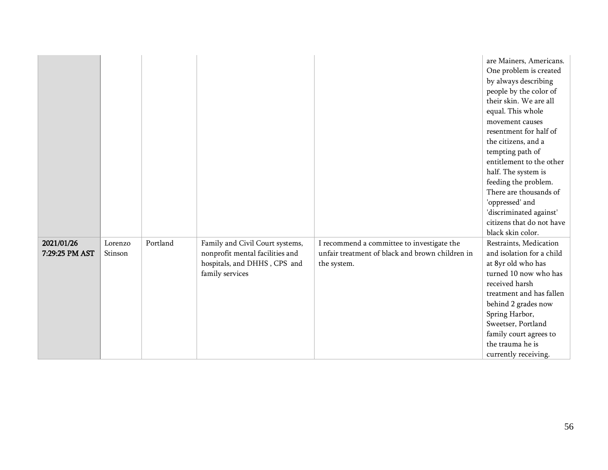|                |         |          |                                 |                                                 | are Mainers, Americans.<br>One problem is created<br>by always describing<br>people by the color of<br>their skin. We are all<br>equal. This whole<br>movement causes<br>resentment for half of<br>the citizens, and a<br>tempting path of<br>entitlement to the other<br>half. The system is<br>feeding the problem.<br>There are thousands of<br>'oppressed' and<br>'discriminated against'<br>citizens that do not have<br>black skin color. |
|----------------|---------|----------|---------------------------------|-------------------------------------------------|-------------------------------------------------------------------------------------------------------------------------------------------------------------------------------------------------------------------------------------------------------------------------------------------------------------------------------------------------------------------------------------------------------------------------------------------------|
| 2021/01/26     | Lorenzo | Portland | Family and Civil Court systems, | I recommend a committee to investigate the      | Restraints, Medication                                                                                                                                                                                                                                                                                                                                                                                                                          |
| 7:29:25 PM AST | Stinson |          | nonprofit mental facilities and | unfair treatment of black and brown children in | and isolation for a child                                                                                                                                                                                                                                                                                                                                                                                                                       |
|                |         |          | hospitals, and DHHS, CPS and    | the system.                                     | at 8yr old who has                                                                                                                                                                                                                                                                                                                                                                                                                              |
|                |         |          | family services                 |                                                 | turned 10 now who has                                                                                                                                                                                                                                                                                                                                                                                                                           |
|                |         |          |                                 |                                                 | received harsh                                                                                                                                                                                                                                                                                                                                                                                                                                  |
|                |         |          |                                 |                                                 | treatment and has fallen                                                                                                                                                                                                                                                                                                                                                                                                                        |
|                |         |          |                                 |                                                 | behind 2 grades now                                                                                                                                                                                                                                                                                                                                                                                                                             |
|                |         |          |                                 |                                                 | Spring Harbor,                                                                                                                                                                                                                                                                                                                                                                                                                                  |
|                |         |          |                                 |                                                 | Sweetser, Portland                                                                                                                                                                                                                                                                                                                                                                                                                              |
|                |         |          |                                 |                                                 | family court agrees to                                                                                                                                                                                                                                                                                                                                                                                                                          |
|                |         |          |                                 |                                                 | the trauma he is                                                                                                                                                                                                                                                                                                                                                                                                                                |
|                |         |          |                                 |                                                 | currently receiving.                                                                                                                                                                                                                                                                                                                                                                                                                            |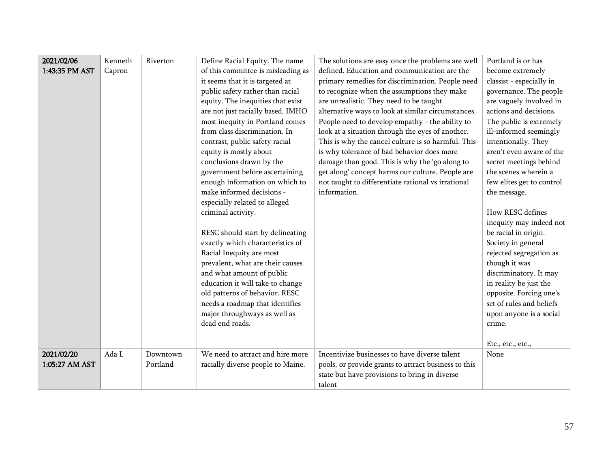| 2021/02/06<br>1:43:35 PM AST | Kenneth<br>Capron | Riverton             | Define Racial Equity. The name<br>of this committee is misleading as<br>it seems that it is targeted at<br>public safety rather than racial<br>equity. The inequities that exist<br>are not just racially based. IMHO<br>most inequity in Portland comes<br>from class discrimination. In<br>contrast, public safety racial<br>equity is mostly about<br>conclusions drawn by the<br>government before ascertaining<br>enough information on which to<br>make informed decisions -<br>especially related to alleged<br>criminal activity.<br>RESC should start by delineating<br>exactly which characteristics of<br>Racial Inequity are most<br>prevalent, what are their causes<br>and what amount of public<br>education it will take to change<br>old patterns of behavior. RESC<br>needs a roadmap that identifies<br>major throughways as well as<br>dead end roads. | The solutions are easy once the problems are well<br>defined. Education and communication are the<br>primary remedies for discrimination. People need<br>to recognize when the assumptions they make<br>are unrealistic. They need to be taught<br>alternative ways to look at similar circumstances.<br>People need to develop empathy - the ability to<br>look at a situation through the eyes of another.<br>This is why the cancel culture is so harmful. This<br>is why tolerance of bad behavior does more<br>damage than good. This is why the 'go along to<br>get along' concept harms our culture. People are<br>not taught to differentiate rational vs irrational<br>information. | Portland is or has<br>become extremely<br>classist - especially in<br>governance. The people<br>are vaguely involved in<br>actions and decisions.<br>The public is extremely<br>ill-informed seemingly<br>intentionally. They<br>aren't even aware of the<br>secret meetings behind<br>the scenes wherein a<br>few elites get to control<br>the message.<br>How RESC defines<br>inequity may indeed not<br>be racial in origin.<br>Society in general<br>rejected segregation as<br>though it was<br>discriminatory. It may<br>in reality be just the<br>opposite. Forcing one's<br>set of rules and beliefs<br>upon anyone is a social<br>crime.<br>Etc., etc., etc., |
|------------------------------|-------------------|----------------------|----------------------------------------------------------------------------------------------------------------------------------------------------------------------------------------------------------------------------------------------------------------------------------------------------------------------------------------------------------------------------------------------------------------------------------------------------------------------------------------------------------------------------------------------------------------------------------------------------------------------------------------------------------------------------------------------------------------------------------------------------------------------------------------------------------------------------------------------------------------------------|----------------------------------------------------------------------------------------------------------------------------------------------------------------------------------------------------------------------------------------------------------------------------------------------------------------------------------------------------------------------------------------------------------------------------------------------------------------------------------------------------------------------------------------------------------------------------------------------------------------------------------------------------------------------------------------------|------------------------------------------------------------------------------------------------------------------------------------------------------------------------------------------------------------------------------------------------------------------------------------------------------------------------------------------------------------------------------------------------------------------------------------------------------------------------------------------------------------------------------------------------------------------------------------------------------------------------------------------------------------------------|
| 2021/02/20<br>1:05:27 AM AST | Ada L             | Downtown<br>Portland | We need to attract and hire more<br>racially diverse people to Maine.                                                                                                                                                                                                                                                                                                                                                                                                                                                                                                                                                                                                                                                                                                                                                                                                      | Incentivize businesses to have diverse talent<br>pools, or provide grants to attract business to this<br>state but have provisions to bring in diverse<br>talent                                                                                                                                                                                                                                                                                                                                                                                                                                                                                                                             | None                                                                                                                                                                                                                                                                                                                                                                                                                                                                                                                                                                                                                                                                   |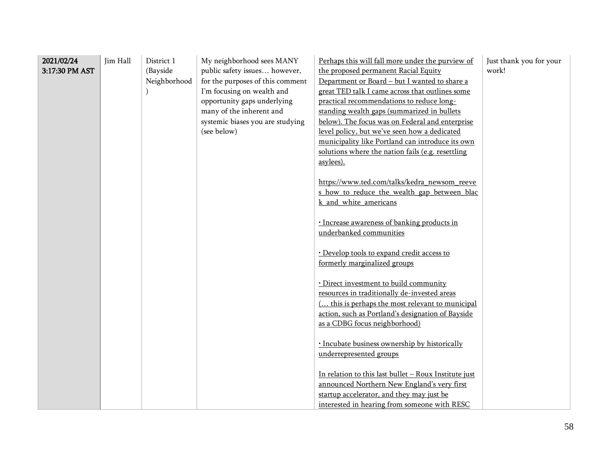| 2021/02/24<br>3:17:30 PM AST | Jim Hall | District 1<br>(Bayside<br>Neighborhood | My neighborhood sees MANY<br>public safety issues however,<br>for the purposes of this comment<br>I'm focusing on wealth and<br>opportunity gaps underlying<br>many of the inherent and<br>systemic biases you are studying<br>(see below) | Perhaps this will fall more under the purview of<br>the proposed permanent Racial Equity<br>Department or Board - but I wanted to share a<br>great TED talk I came across that outlines some<br>practical recommendations to reduce long-<br>standing wealth gaps (summarized in bullets<br>below). The focus was on Federal and enterprise<br>level policy, but we've seen how a dedicated<br>municipality like Portland can introduce its own<br>solutions where the nation fails (e.g. resettling<br>asylees). | Just thank you for your<br>work! |
|------------------------------|----------|----------------------------------------|--------------------------------------------------------------------------------------------------------------------------------------------------------------------------------------------------------------------------------------------|-------------------------------------------------------------------------------------------------------------------------------------------------------------------------------------------------------------------------------------------------------------------------------------------------------------------------------------------------------------------------------------------------------------------------------------------------------------------------------------------------------------------|----------------------------------|
|                              |          |                                        |                                                                                                                                                                                                                                            | https://www.ted.com/talks/kedra newsom reeve<br>s_how_to_reduce_the_wealth_gap_between_blac<br>k and white americans<br>· Increase awareness of banking products in                                                                                                                                                                                                                                                                                                                                               |                                  |
|                              |          |                                        |                                                                                                                                                                                                                                            | underbanked communities<br>· Develop tools to expand credit access to<br>formerly marginalized groups<br>· Direct investment to build community                                                                                                                                                                                                                                                                                                                                                                   |                                  |
|                              |          |                                        |                                                                                                                                                                                                                                            | resources in traditionally de-invested areas<br>( this is perhaps the most relevant to municipal<br>action, such as Portland's designation of Bayside<br>as a CDBG focus neighborhood)                                                                                                                                                                                                                                                                                                                            |                                  |
|                              |          |                                        |                                                                                                                                                                                                                                            | · Incubate business ownership by historically<br>underrepresented groups                                                                                                                                                                                                                                                                                                                                                                                                                                          |                                  |
|                              |          |                                        |                                                                                                                                                                                                                                            | In relation to this last bullet - Roux Institute just<br>announced Northern New England's very first<br>startup accelerator, and they may just be<br>interested in hearing from someone with RESC                                                                                                                                                                                                                                                                                                                 |                                  |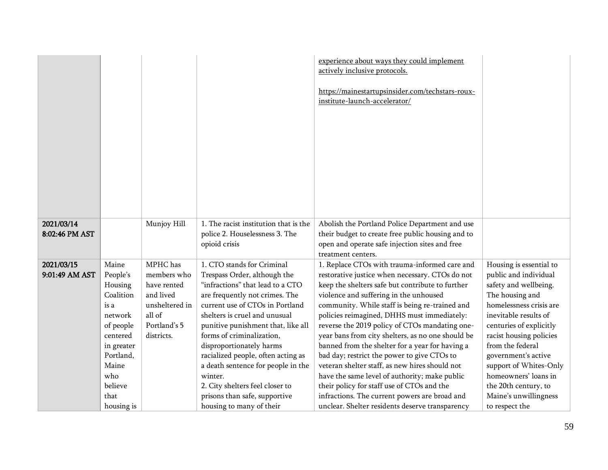|                              |                                                                                                                                                                   |                                                                                                               |                                                                                                                                                                                                                                                                                                                                                                                                                                                                                            | experience about ways they could implement<br>actively inclusive protocols.<br>https://mainestartupsinsider.com/techstars-roux-<br>institute-launch-accelerator/                                                                                                                                                                                                                                                                                                                                                                                                                                                                                                                                                                                              |                                                                                                                                                                                                                                                                                                                                                                        |
|------------------------------|-------------------------------------------------------------------------------------------------------------------------------------------------------------------|---------------------------------------------------------------------------------------------------------------|--------------------------------------------------------------------------------------------------------------------------------------------------------------------------------------------------------------------------------------------------------------------------------------------------------------------------------------------------------------------------------------------------------------------------------------------------------------------------------------------|---------------------------------------------------------------------------------------------------------------------------------------------------------------------------------------------------------------------------------------------------------------------------------------------------------------------------------------------------------------------------------------------------------------------------------------------------------------------------------------------------------------------------------------------------------------------------------------------------------------------------------------------------------------------------------------------------------------------------------------------------------------|------------------------------------------------------------------------------------------------------------------------------------------------------------------------------------------------------------------------------------------------------------------------------------------------------------------------------------------------------------------------|
| 2021/03/14<br>8:02:46 PM AST |                                                                                                                                                                   | Munjoy Hill                                                                                                   | 1. The racist institution that is the<br>police 2. Houselessness 3. The<br>opioid crisis                                                                                                                                                                                                                                                                                                                                                                                                   | Abolish the Portland Police Department and use<br>their budget to create free public housing and to<br>open and operate safe injection sites and free<br>treatment centers.                                                                                                                                                                                                                                                                                                                                                                                                                                                                                                                                                                                   |                                                                                                                                                                                                                                                                                                                                                                        |
| 2021/03/15<br>9:01:49 AM AST | Maine<br>People's<br>Housing<br>Coalition<br>is a<br>network<br>of people<br>centered<br>in greater<br>Portland,<br>Maine<br>who<br>believe<br>that<br>housing is | MPHC has<br>members who<br>have rented<br>and lived<br>unsheltered in<br>all of<br>Portland's 5<br>districts. | 1. CTO stands for Criminal<br>Trespass Order, although the<br>"infractions" that lead to a CTO<br>are frequently not crimes. The<br>current use of CTOs in Portland<br>shelters is cruel and unusual<br>punitive punishment that, like all<br>forms of criminalization,<br>disproportionately harms<br>racialized people, often acting as<br>a death sentence for people in the<br>winter.<br>2. City shelters feel closer to<br>prisons than safe, supportive<br>housing to many of their | 1. Replace CTOs with trauma-informed care and<br>restorative justice when necessary. CTOs do not<br>keep the shelters safe but contribute to further<br>violence and suffering in the unhoused<br>community. While staff is being re-trained and<br>policies reimagined, DHHS must immediately:<br>reverse the 2019 policy of CTOs mandating one-<br>year bans from city shelters, as no one should be<br>banned from the shelter for a year for having a<br>bad day; restrict the power to give CTOs to<br>veteran shelter staff, as new hires should not<br>have the same level of authority; make public<br>their policy for staff use of CTOs and the<br>infractions. The current powers are broad and<br>unclear. Shelter residents deserve transparency | Housing is essential to<br>public and individual<br>safety and wellbeing.<br>The housing and<br>homelessness crisis are<br>inevitable results of<br>centuries of explicitly<br>racist housing policies<br>from the federal<br>government's active<br>support of Whites-Only<br>homeowners' loans in<br>the 20th century, to<br>Maine's unwillingness<br>to respect the |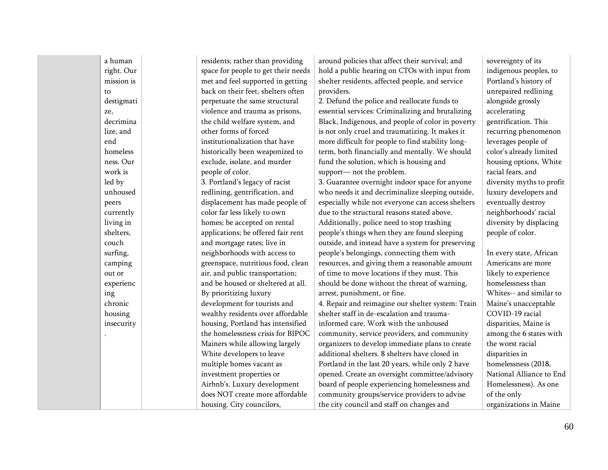| a human    | residents; rather than providing    | around policies that affect their survival; and   | sovereignty of its        |
|------------|-------------------------------------|---------------------------------------------------|---------------------------|
| right. Our | space for people to get their needs | hold a public hearing on CTOs with input from     | indigenous peoples, to    |
| mission is | met and feel supported in getting   | shelter residents, affected people, and service   | Portland's history of     |
| to         | back on their feet, shelters often  | providers.                                        | unrepaired redlining      |
| destigmati | perpetuate the same structural      | 2. Defund the police and reallocate funds to      | alongside grossly         |
| ze,        | violence and trauma as prisons,     | essential services: Criminalizing and brutalizing | accelerating              |
| decrimina  | the child welfare system, and       | Black, Indigenous, and people of color in poverty | gentrification. This      |
| lize, and  | other forms of forced               | is not only cruel and traumatizing. It makes it   | recurring phenomenon      |
| end        | institutionalization that have      | more difficult for people to find stability long- | leverages people of       |
| homeless   | historically been weaponized to     | term, both financially and mentally. We should    | color's already limited   |
| ness. Our  | exclude, isolate, and murder        | fund the solution, which is housing and           | housing options, White    |
| work is    | people of color.                    | support- not the problem.                         | racial fears, and         |
| led by     | 3. Portland's legacy of racist      | 3. Guarantee overnight indoor space for anyone    | diversity myths to profit |
| unhoused   | redlining, gentrification, and      | who needs it and decriminalize sleeping outside,  | luxury developers and     |
| peers      | displacement has made people of     | especially while not everyone can access shelters | eventually destroy        |
| currently  | color far less likely to own        | due to the structural reasons stated above.       | neighborhoods' racial     |
| living in  | homes; be accepted on rental        | Additionally, police need to stop trashing        | diversity by displacing   |
| shelters,  | applications; be offered fair rent  | people's things when they are found sleeping      | people of color.          |
| couch      | and mortgage rates; live in         | outside, and instead have a system for preserving |                           |
| surfing,   | neighborhoods with access to        | people's belongings, connecting them with         | In every state, African   |
| camping    | greenspace, nutritious food, clean  | resources, and giving them a reasonable amount    | Americans are more        |
| out or     | air, and public transportation;     | of time to move locations if they must. This      | likely to experience      |
| experienc  | and be housed or sheltered at all.  | should be done without the threat of warning,     | homelessness than         |
| ing        | By prioritizing luxury              | arrest, punishment, or fine.                      | Whites-- and similar to   |
| chronic    | development for tourists and        | 4. Repair and reimagine our shelter system: Train | Maine's unacceptable      |
| housing    | wealthy residents over affordable   | shelter staff in de-escalation and trauma-        | COVID-19 racial           |
| insecurity | housing, Portland has intensified   | informed care. Work with the unhoused             | disparities, Maine is     |
|            | the homelessness crisis for BIPOC   | community, service providers, and community       | among the 6 states with   |
|            | Mainers while allowing largely      | organizers to develop immediate plans to create   | the worst racial          |
|            | White developers to leave           | additional shelters. 8 shelters have closed in    | disparities in            |
|            | multiple homes vacant as            | Portland in the last 20 years, while only 2 have  | homelessness (2018,       |
|            | investment properties or            | opened. Create an oversight committee/advisory    | National Alliance to End  |
|            | Airbnb's. Luxury development        | board of people experiencing homelessness and     | Homelessness). As one     |
|            | does NOT create more affordable     | community groups/service providers to advise      | of the only               |
|            | housing. City councilors,           | the city council and staff on changes and         | organizations in Maine    |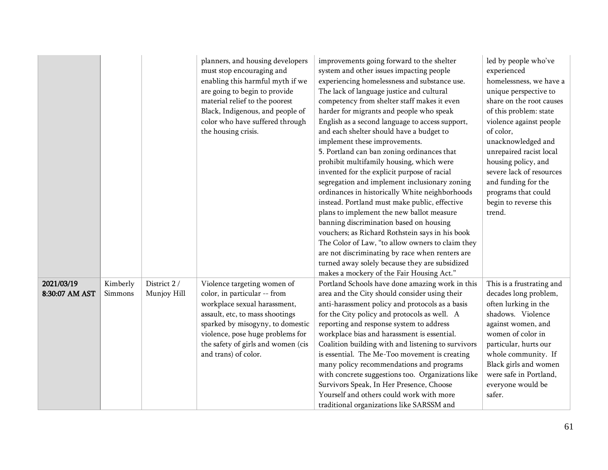|                              |                     |                             | planners, and housing developers<br>must stop encouraging and<br>enabling this harmful myth if we<br>are going to begin to provide<br>material relief to the poorest<br>Black, Indigenous, and people of<br>color who have suffered through<br>the housing crisis.   | improvements going forward to the shelter<br>system and other issues impacting people<br>experiencing homelessness and substance use.<br>The lack of language justice and cultural<br>competency from shelter staff makes it even<br>harder for migrants and people who speak<br>English as a second language to access support,<br>and each shelter should have a budget to<br>implement these improvements.<br>5. Portland can ban zoning ordinances that<br>prohibit multifamily housing, which were<br>invented for the explicit purpose of racial<br>segregation and implement inclusionary zoning<br>ordinances in historically White neighborhoods<br>instead. Portland must make public, effective<br>plans to implement the new ballot measure<br>banning discrimination based on housing<br>vouchers; as Richard Rothstein says in his book<br>The Color of Law, "to allow owners to claim they<br>are not discriminating by race when renters are<br>turned away solely because they are subsidized<br>makes a mockery of the Fair Housing Act." | led by people who've<br>experienced<br>homelessness, we have a<br>unique perspective to<br>share on the root causes<br>of this problem: state<br>violence against people<br>of color,<br>unacknowledged and<br>unrepaired racist local<br>housing policy, and<br>severe lack of resources<br>and funding for the<br>programs that could<br>begin to reverse this<br>trend. |
|------------------------------|---------------------|-----------------------------|----------------------------------------------------------------------------------------------------------------------------------------------------------------------------------------------------------------------------------------------------------------------|-------------------------------------------------------------------------------------------------------------------------------------------------------------------------------------------------------------------------------------------------------------------------------------------------------------------------------------------------------------------------------------------------------------------------------------------------------------------------------------------------------------------------------------------------------------------------------------------------------------------------------------------------------------------------------------------------------------------------------------------------------------------------------------------------------------------------------------------------------------------------------------------------------------------------------------------------------------------------------------------------------------------------------------------------------------|----------------------------------------------------------------------------------------------------------------------------------------------------------------------------------------------------------------------------------------------------------------------------------------------------------------------------------------------------------------------------|
| 2021/03/19<br>8:30:07 AM AST | Kimberly<br>Simmons | District 2 /<br>Munjoy Hill | Violence targeting women of<br>color, in particular -- from<br>workplace sexual harassment,<br>assault, etc, to mass shootings<br>sparked by misogyny, to domestic<br>violence, pose huge problems for<br>the safety of girls and women (cis<br>and trans) of color. | Portland Schools have done amazing work in this<br>area and the City should consider using their<br>anti-harassment policy and protocols as a basis<br>for the City policy and protocols as well. A<br>reporting and response system to address<br>workplace bias and harassment is essential.<br>Coalition building with and listening to survivors<br>is essential. The Me-Too movement is creating<br>many policy recommendations and programs<br>with concrete suggestions too. Organizations like<br>Survivors Speak, In Her Presence, Choose<br>Yourself and others could work with more<br>traditional organizations like SARSSM and                                                                                                                                                                                                                                                                                                                                                                                                                 | This is a frustrating and<br>decades long problem,<br>often lurking in the<br>shadows. Violence<br>against women, and<br>women of color in<br>particular, hurts our<br>whole community. If<br>Black girls and women<br>were safe in Portland,<br>everyone would be<br>safer.                                                                                               |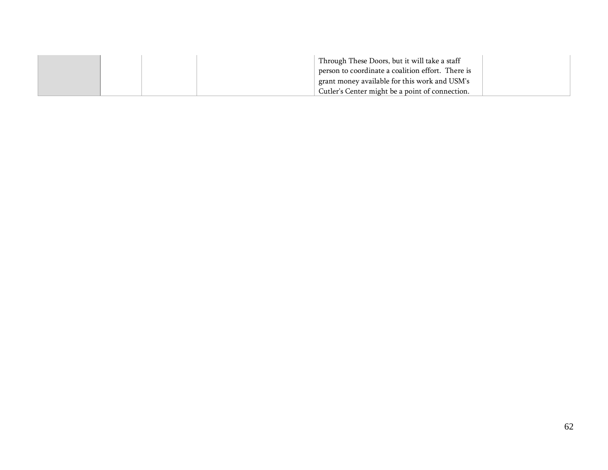|  | Through These Doors, but it will take a staff<br>person to coordinate a coalition effort. There is |  |
|--|----------------------------------------------------------------------------------------------------|--|
|  | grant money available for this work and USM's                                                      |  |
|  | Cutler's Center might be a point of connection.                                                    |  |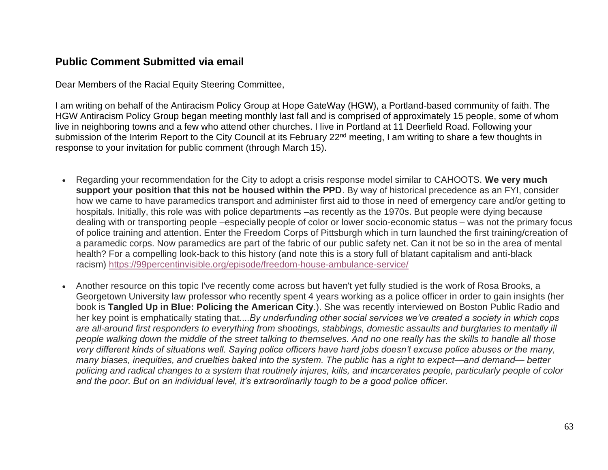## **Public Comment Submitted via email**

Dear Members of the Racial Equity Steering Committee,

I am writing on behalf of the Antiracism Policy Group at Hope GateWay (HGW), a Portland-based community of faith. The HGW Antiracism Policy Group began meeting monthly last fall and is comprised of approximately 15 people, some of whom live in neighboring towns and a few who attend other churches. I live in Portland at 11 Deerfield Road. Following your submission of the Interim Report to the City Council at its February 22<sup>nd</sup> meeting, I am writing to share a few thoughts in response to your invitation for public comment (through March 15).

- Regarding your recommendation for the City to adopt a crisis response model similar to CAHOOTS. **We very much support your position that this not be housed within the PPD**. By way of historical precedence as an FYI, consider how we came to have paramedics transport and administer first aid to those in need of emergency care and/or getting to hospitals. Initially, this role was with police departments –as recently as the 1970s. But people were dying because dealing with or transporting people –especially people of color or lower socio-economic status – was not the primary focus of police training and attention. Enter the Freedom Corps of Pittsburgh which in turn launched the first training/creation of a paramedic corps. Now paramedics are part of the fabric of our public safety net. Can it not be so in the area of mental health? For a compelling look-back to this history (and note this is a story full of blatant capitalism and anti-black racism) <https://99percentinvisible.org/episode/freedom-house-ambulance-service/>
- Another resource on this topic I've recently come across but haven't yet fully studied is the work of Rosa Brooks, a Georgetown University law professor who recently spent 4 years working as a police officer in order to gain insights (her book is **Tangled Up in Blue: Policing the American City**.). She was recently interviewed on Boston Public Radio and her key point is emphatically stating that....*By underfunding other social services we've created a society in which cops are all-around first responders to everything from shootings, stabbings, domestic assaults and burglaries to mentally ill people walking down the middle of the street talking to themselves. And no one really has the skills to handle all those very different kinds of situations well. Saying police officers have hard jobs doesn't excuse police abuses or the many, many biases, inequities, and cruelties baked into the system. The public has a right to expect—and demand— better policing and radical changes to a system that routinely injures, kills, and incarcerates people, particularly people of color and the poor. But on an individual level, it's extraordinarily tough to be a good police officer.*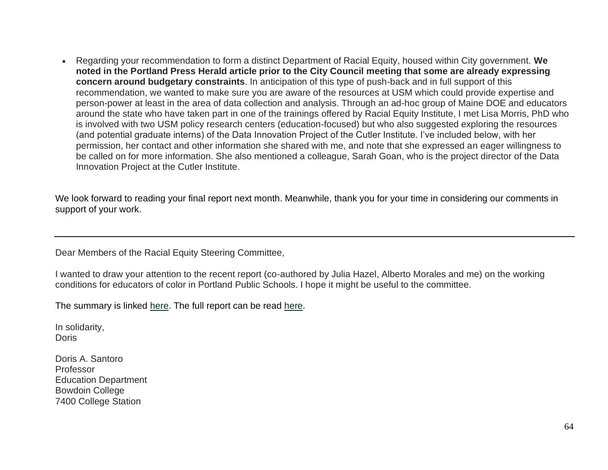• Regarding your recommendation to form a distinct Department of Racial Equity, housed within City government. **We noted in the Portland Press Herald article prior to the City Council meeting that some are already expressing concern around budgetary constraints**. In anticipation of this type of push-back and in full support of this recommendation, we wanted to make sure you are aware of the resources at USM which could provide expertise and person-power at least in the area of data collection and analysis. Through an ad-hoc group of Maine DOE and educators around the state who have taken part in one of the trainings offered by Racial Equity Institute, I met Lisa Morris, PhD who is involved with two USM policy research centers (education-focused) but who also suggested exploring the resources (and potential graduate interns) of the Data Innovation Project of the Cutler Institute. I've included below, with her permission, her contact and other information she shared with me, and note that she expressed an eager willingness to be called on for more information. She also mentioned a colleague, Sarah Goan, who is the project director of the Data Innovation Project at the Cutler Institute.

We look forward to reading your final report next month. Meanwhile, thank you for your time in considering our comments in support of your work.

Dear Members of the Racial Equity Steering Committee,

I wanted to draw your attention to the recent report (co-authored by Julia Hazel, Alberto Morales and me) on the working conditions for educators of color in Portland Public Schools. I hope it might be useful to the committee.

The summary is linked [here.](https://drive.google.com/file/d/1_tIjd7XXabmueG8SP5rTFIUY2bvJDGqW/view) The full report can be read here.

In solidarity, Doris

Doris A. Santoro Professor Education Department Bowdoin College 7400 College Station